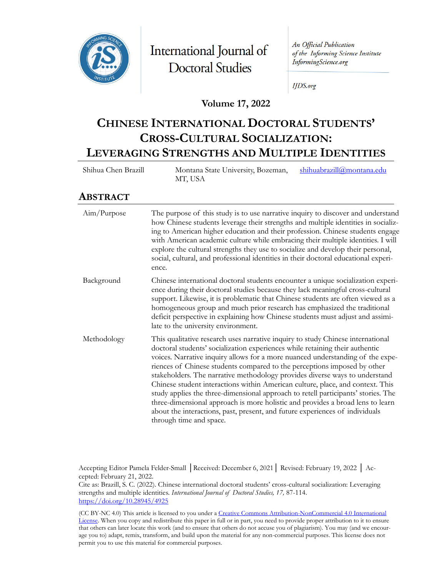

International Journal of **Doctoral Studies** 

An Official Publication of the Informing Science Institute InformingScience.org

**IJDS.org** 

#### **Volume 17, 2022**

# **CHINESE INTERNATIONAL DOCTORAL STUDENTS' CROSS-CULTURAL SOCIALIZATION: LEVERAGING STRENGTHS AND MULTIPLE IDENTITIES**

Shihua Chen Brazill Montana State University, Bozeman, MT, USA [shihuabrazill@montana.edu](mailto:shihuabrazill@montana.edu)

### **ABSTRACT**

| Aim/Purpose | The purpose of this study is to use narrative inquiry to discover and understand<br>how Chinese students leverage their strengths and multiple identities in socializ-<br>ing to American higher education and their profession. Chinese students engage<br>with American academic culture while embracing their multiple identities. I will<br>explore the cultural strengths they use to socialize and develop their personal,<br>social, cultural, and professional identities in their doctoral educational experi-<br>ence.                                                                                                                                                                                                                                                 |
|-------------|----------------------------------------------------------------------------------------------------------------------------------------------------------------------------------------------------------------------------------------------------------------------------------------------------------------------------------------------------------------------------------------------------------------------------------------------------------------------------------------------------------------------------------------------------------------------------------------------------------------------------------------------------------------------------------------------------------------------------------------------------------------------------------|
| Background  | Chinese international doctoral students encounter a unique socialization experi-<br>ence during their doctoral studies because they lack meaningful cross-cultural<br>support. Likewise, it is problematic that Chinese students are often viewed as a<br>homogeneous group and much prior research has emphasized the traditional<br>deficit perspective in explaining how Chinese students must adjust and assimi-<br>late to the university environment.                                                                                                                                                                                                                                                                                                                      |
| Methodology | This qualitative research uses narrative inquiry to study Chinese international<br>doctoral students' socialization experiences while retaining their authentic<br>voices. Narrative inquiry allows for a more nuanced understanding of the expe-<br>riences of Chinese students compared to the perceptions imposed by other<br>stakeholders. The narrative methodology provides diverse ways to understand<br>Chinese student interactions within American culture, place, and context. This<br>study applies the three-dimensional approach to retell participants' stories. The<br>three-dimensional approach is more holistic and provides a broad lens to learn<br>about the interactions, past, present, and future experiences of individuals<br>through time and space. |

Accepting Editor Pamela Felder-Small │Received: December 6, 2021│ Revised: February 19, 2022 │ Accepted: February 21, 2022.

Cite as: Brazill, S. C. (2022). Chinese international doctoral students' cross-cultural socialization: Leveraging strengths and multiple identities. *International Journal of Doctoral Studies, 17,* 87-114. <https://doi.org/10.28945/4925>

(CC BY-NC 4.0) This article is licensed to you under a Creative Commons Attribution[-NonCommercial 4.0 International](https://creativecommons.org/licenses/by-nc/4.0/)  [License.](https://creativecommons.org/licenses/by-nc/4.0/) When you copy and redistribute this paper in full or in part, you need to provide proper attribution to it to ensure that others can later locate this work (and to ensure that others do not accuse you of plagiarism). You may (and we encourage you to) adapt, remix, transform, and build upon the material for any non-commercial purposes. This license does not permit you to use this material for commercial purposes.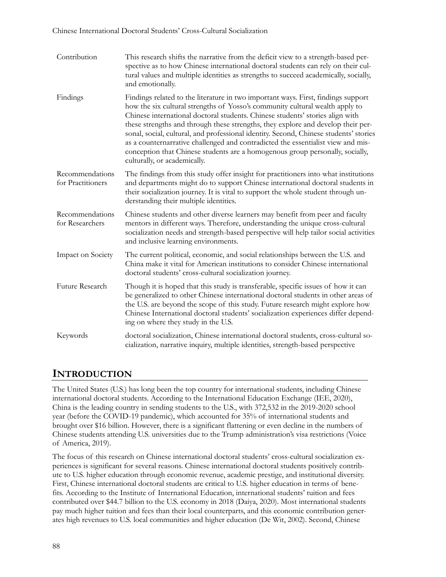#### Chinese International Doctoral Students' Cross-Cultural Socialization

| Contribution                         | This research shifts the narrative from the deficit view to a strength-based per-<br>spective as to how Chinese international doctoral students can rely on their cul-<br>tural values and multiple identities as strengths to succeed academically, socially,<br>and emotionally.                                                                                                                                                                                                                                                                                                                                                   |
|--------------------------------------|--------------------------------------------------------------------------------------------------------------------------------------------------------------------------------------------------------------------------------------------------------------------------------------------------------------------------------------------------------------------------------------------------------------------------------------------------------------------------------------------------------------------------------------------------------------------------------------------------------------------------------------|
| Findings                             | Findings related to the literature in two important ways. First, findings support<br>how the six cultural strengths of Yosso's community cultural wealth apply to<br>Chinese international doctoral students. Chinese students' stories align with<br>these strengths and through these strengths, they explore and develop their per-<br>sonal, social, cultural, and professional identity. Second, Chinese students' stories<br>as a counternarrative challenged and contradicted the essentialist view and mis-<br>conception that Chinese students are a homogenous group personally, socially,<br>culturally, or academically. |
| Recommendations<br>for Practitioners | The findings from this study offer insight for practitioners into what institutions<br>and departments might do to support Chinese international doctoral students in<br>their socialization journey. It is vital to support the whole student through un-<br>derstanding their multiple identities.                                                                                                                                                                                                                                                                                                                                 |
| Recommendations<br>for Researchers   | Chinese students and other diverse learners may benefit from peer and faculty<br>mentors in different ways. Therefore, understanding the unique cross-cultural<br>socialization needs and strength-based perspective will help tailor social activities<br>and inclusive learning environments.                                                                                                                                                                                                                                                                                                                                      |
| Impact on Society                    | The current political, economic, and social relationships between the U.S. and<br>China make it vital for American institutions to consider Chinese international<br>doctoral students' cross-cultural socialization journey.                                                                                                                                                                                                                                                                                                                                                                                                        |
| Future Research                      | Though it is hoped that this study is transferable, specific issues of how it can<br>be generalized to other Chinese international doctoral students in other areas of<br>the U.S. are beyond the scope of this study. Future research might explore how<br>Chinese International doctoral students' socialization experiences differ depend-<br>ing on where they study in the U.S.                                                                                                                                                                                                                                                 |
| Keywords                             | doctoral socialization, Chinese international doctoral students, cross-cultural so-<br>cialization, narrative inquiry, multiple identities, strength-based perspective                                                                                                                                                                                                                                                                                                                                                                                                                                                               |

## **INTRODUCTION**

The United States (U.S.) has long been the top country for international students, including Chinese international doctoral students. According to the International Education Exchange (IEE, 2020), China is the leading country in sending students to the U.S., with 372,532 in the 2019-2020 school year (before the COVID-19 pandemic), which accounted for 35% of international students and brought over \$16 billion. However, there is a significant flattening or even decline in the numbers of Chinese students attending U.S. universities due to the Trump administration's visa restrictions (Voice of America, 2019).

The focus of this research on Chinese international doctoral students' cross-cultural socialization experiences is significant for several reasons. Chinese international doctoral students positively contribute to U.S. higher education through economic revenue, academic prestige, and institutional diversity. First, Chinese international doctoral students are critical to U.S. higher education in terms of benefits. According to the Institute of International Education, international students' tuition and fees contributed over \$44.7 billion to the U.S. economy in 2018 (Daiya, 2020). Most international students pay much higher tuition and fees than their local counterparts, and this economic contribution generates high revenues to U.S. local communities and higher education (De Wit, 2002). Second, Chinese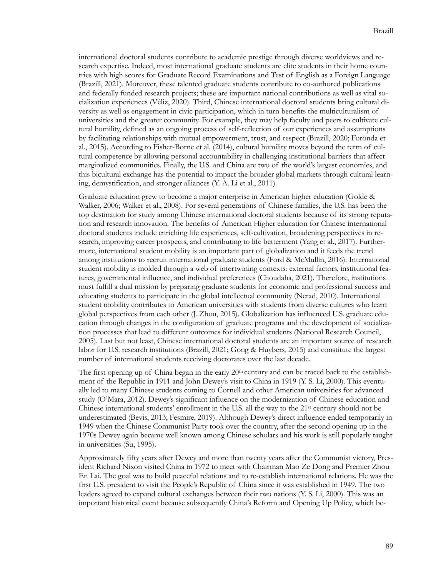international doctoral students contribute to academic prestige through diverse worldviews and research expertise. Indeed, most international graduate students are elite students in their home countries with high scores for Graduate Record Examinations and Test of English as a Foreign Language (Brazill, 2021). Moreover, these talented graduate students contribute to co-authored publications and federally funded research projects; these are important national contributions as well as vital socialization experiences (Véliz, 2020). Third, Chinese international doctoral students bring cultural diversity as well as engagement in civic participation, which in turn benefits the multiculturalism of universities and the greater community. For example, they may help faculty and peers to cultivate cultural humility, defined as an ongoing process of self-reflection of our experiences and assumptions by facilitating relationships with mutual empowerment, trust, and respect (Brazill, 2020; Foronda et al., 2015). According to Fisher-Borne et al. (2014), cultural humility moves beyond the term of cultural competence by allowing personal accountability in challenging institutional barriers that affect marginalized communities. Finally, the U.S. and China are two of the world's largest economies, and this bicultural exchange has the potential to impact the broader global markets through cultural learning, demystification, and stronger alliances (Y. A. Li et al., 2011).

Graduate education grew to become a major enterprise in American higher education (Golde & Walker, 2006; Walker et al., 2008). For several generations of Chinese families, the U.S. has been the top destination for study among Chinese international doctoral students because of its strong reputation and research innovation. The benefits of American Higher education for Chinese international doctoral students include enriching life experiences, self-cultivation, broadening perspectives in research, improving career prospects, and contributing to life betterment (Yang et al., 2017). Furthermore, international student mobility is an important part of globalization and it feeds the trend among institutions to recruit international graduate students (Ford & McMullin, 2016). International student mobility is molded through a web of intertwining contexts: external factors, institutional features, governmental influence, and individual preferences (Choudaha, 2021). Therefore, institutions must fulfill a dual mission by preparing graduate students for economic and professional success and educating students to participate in the global intellectual community (Nerad, 2010). International student mobility contributes to American universities with students from diverse cultures who learn global perspectives from each other (J. Zhou, 2015). Globalization has influenced U.S. graduate education through changes in the configuration of graduate programs and the development of socialization processes that lead to different outcomes for individual students (National Research Council, 2005). Last but not least, Chinese international doctoral students are an important source of research labor for U.S. research institutions (Brazill, 2021; Gong & Huybers, 2015) and constitute the largest number of international students receiving doctorates over the last decade.

The first opening up of China began in the early  $20<sup>th</sup>$  century and can be traced back to the establishment of the Republic in 1911 and John Dewey's visit to China in 1919 (Y. S. Li, 2000). This eventually led to many Chinese students coming to Cornell and other American universities for advanced study (O'Mara, 2012). Dewey's significant influence on the modernization of Chinese education and Chinese international students' enrollment in the U.S. all the way to the 21st century should not be underestimated (Bevis, 2013; Fesmire, 2019). Although Dewey's direct influence ended temporarily in 1949 when the Chinese Communist Party took over the country, after the second opening up in the 1970s Dewey again became well known among Chinese scholars and his work is still popularly taught in universities (Su, 1995).

Approximately fifty years after Dewey and more than twenty years after the Communist victory, President Richard Nixon visited China in 1972 to meet with Chairman Mao Ze Dong and Premier Zhou En Lai. The goal was to build peaceful relations and to re-establish international relations. He was the first U.S. president to visit the People's Republic of China since it was established in 1949. The two leaders agreed to expand cultural exchanges between their two nations (Y. S. Li, 2000). This was an important historical event because subsequently China's Reform and Opening Up Policy, which be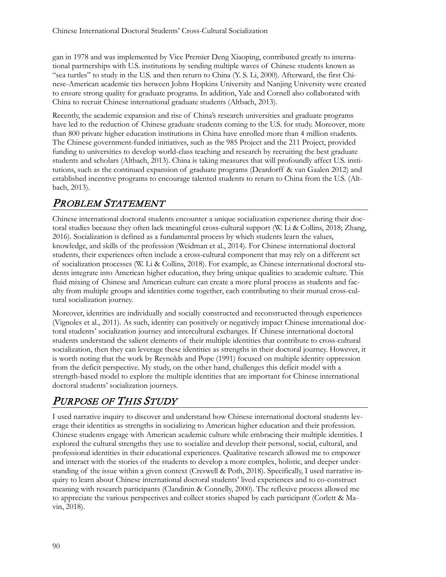gan in 1978 and was implemented by Vice Premier Deng Xiaoping, contributed greatly to international partnerships with U.S. institutions by sending multiple waves of Chinese students known as "sea turtles" to study in the U.S. and then return to China (Y. S. Li, 2000). Afterward, the first Chinese-American academic ties between Johns Hopkins University and Nanjing University were created to ensure strong quality for graduate programs. In addition, Yale and Cornell also collaborated with China to recruit Chinese international graduate students (Altbach, 2013).

Recently, the academic expansion and rise of China's research universities and graduate programs have led to the reduction of Chinese graduate students coming to the U.S. for study. Moreover, more than 800 private higher education institutions in China have enrolled more than 4 million students. The Chinese government-funded initiatives, such as the 985 Project and the 211 Project, provided funding to universities to develop world-class teaching and research by recruiting the best graduate students and scholars (Altbach, 2013). China is taking measures that will profoundly affect U.S. institutions, such as the continued expansion of graduate programs (Deardorff & van Gaalen 2012) and established incentive programs to encourage talented students to return to China from the U.S. (Altbach, 2013).

## PROBLEM STATEMENT

Chinese international doctoral students encounter a unique socialization experience during their doctoral studies because they often lack meaningful cross-cultural support (W. Li & Collins, 2018; Zhang, 2016). Socialization is defined as a fundamental process by which students learn the values, knowledge, and skills of the profession (Weidman et al., 2014). For Chinese international doctoral students, their experiences often include a cross-cultural component that may rely on a different set of socialization processes (W. Li & Collins, 2018). For example, as Chinese international doctoral students integrate into American higher education, they bring unique qualities to academic culture. This fluid mixing of Chinese and American culture can create a more plural process as students and faculty from multiple groups and identities come together, each contributing to their mutual cross-cultural socialization journey.

Moreover, identities are individually and socially constructed and reconstructed through experiences (Vignoles et al., 2011). As such, identity can positively or negatively impact Chinese international doctoral students' socialization journey and intercultural exchanges. If Chinese international doctoral students understand the salient elements of their multiple identities that contribute to cross-cultural socialization, then they can leverage these identities as strengths in their doctoral journey. However, it is worth noting that the work by Reynolds and Pope (1991) focused on multiple identity oppression from the deficit perspective. My study, on the other hand, challenges this deficit model with a strength-based model to explore the multiple identities that are important for Chinese international doctoral students' socialization journeys.

# PURPOSE OF THIS STUDY

I used narrative inquiry to discover and understand how Chinese international doctoral students leverage their identities as strengths in socializing to American higher education and their profession. Chinese students engage with American academic culture while embracing their multiple identities. I explored the cultural strengths they use to socialize and develop their personal, social, cultural, and professional identities in their educational experiences. Qualitative research allowed me to empower and interact with the stories of the students to develop a more complex, holistic, and deeper understanding of the issue within a given context (Creswell & Poth, 2018). Specifically, I used narrative inquiry to learn about Chinese international doctoral students' lived experiences and to co-construct meaning with research participants (Clandinin & Connelly, 2000). The reflexive process allowed me to appreciate the various perspectives and collect stories shaped by each participant (Corlett & Mavin, 2018).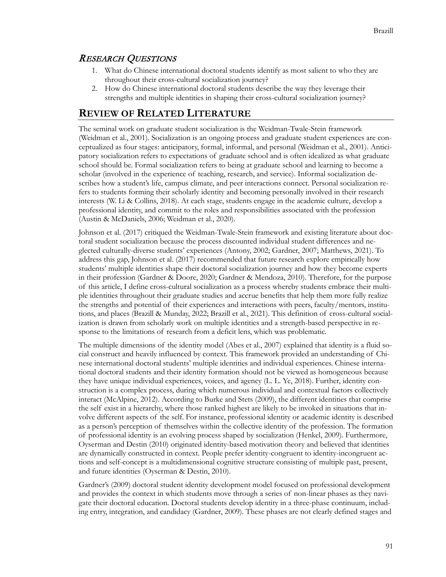### RESEARCH QUESTIONS

- 1. What do Chinese international doctoral students identify as most salient to who they are throughout their cross-cultural socialization journey?
- 2. How do Chinese international doctoral students describe the way they leverage their strengths and multiple identities in shaping their cross-cultural socialization journey?

### **REVIEW OF RELATED LITERATURE**

The seminal work on graduate student socialization is the Weidman-Twale-Stein framework (Weidman et al., 2001). Socialization is an ongoing process and graduate student experiences are conceptualized as four stages: anticipatory, formal, informal, and personal (Weidman et al., 2001). Anticipatory socialization refers to expectations of graduate school and is often idealized as what graduate school should be. Formal socialization refers to being at graduate school and learning to become a scholar (involved in the experience of teaching, research, and service). Informal socialization describes how a student's life, campus climate, and peer interactions connect. Personal socialization refers to students forming their scholarly identity and becoming personally involved in their research interests (W. Li & Collins, 2018). At each stage, students engage in the academic culture, develop a professional identity, and commit to the roles and responsibilities associated with the profession (Austin & McDaniels, 2006; Weidman et al., 2020).

Johnson et al. (2017) critiqued the Weidman-Twale-Stein framework and existing literature about doctoral student socialization because the process discounted individual student differences and neglected culturally-diverse students' experiences (Antony, 2002; Gardner, 2007; Matthews, 2021). To address this gap, Johnson et al. (2017) recommended that future research explore empirically how students' multiple identities shape their doctoral socialization journey and how they become experts in their profession (Gardner & Doore, 2020; Gardner & Mendoza, 2010). Therefore, for the purpose of this article, I define cross-cultural socialization as a process whereby students embrace their multiple identities throughout their graduate studies and accrue benefits that help them more fully realize the strengths and potential of their experiences and interactions with peers, faculty/mentors, institutions, and places (Brazill & Munday, 2022; Brazill et al., 2021). This definition of cross-cultural socialization is drawn from scholarly work on multiple identities and a strength-based perspective in response to the limitations of research from a deficit lens, which was problematic.

The multiple dimensions of the identity model (Abes et al., 2007) explained that identity is a fluid social construct and heavily influenced by context. This framework provided an understanding of Chinese international doctoral students' multiple identities and individual experiences. Chinese international doctoral students and their identity formation should not be viewed as homogeneous because they have unique individual experiences, voices, and agency (L. L. Ye, 2018). Further, identity construction is a complex process, during which numerous individual and contextual factors collectively interact (McAlpine, 2012). According to Burke and Stets (2009), the different identities that comprise the self exist in a hierarchy, where those ranked highest are likely to be invoked in situations that involve different aspects of the self. For instance, professional identity or academic identity is described as a person's perception of themselves within the collective identity of the profession. The formation of professional identity is an evolving process shaped by socialization (Henkel, 2009). Furthermore, Oyserman and Destin (2010) originated identity-based motivation theory and believed that identities are dynamically constructed in context. People prefer identity-congruent to identity-incongruent actions and self-concept is a multidimensional cognitive structure consisting of multiple past, present, and future identities (Oyserman & Destin, 2010).

Gardner's (2009) doctoral student identity development model focused on professional development and provides the context in which students move through a series of non-linear phases as they navigate their doctoral education. Doctoral students develop identity in a three-phase continuum, including entry, integration, and candidacy (Gardner, 2009). These phases are not clearly defined stages and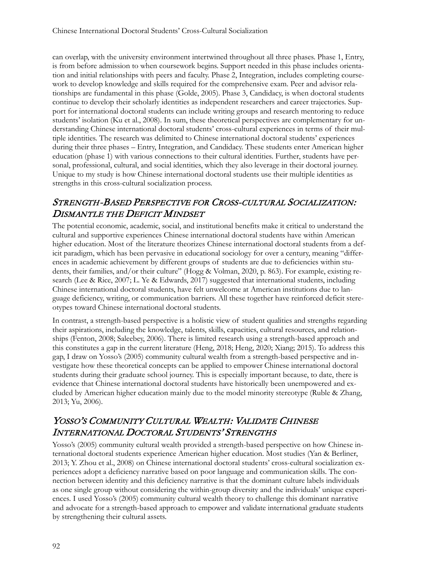can overlap, with the university environment intertwined throughout all three phases. Phase 1, Entry, is from before admission to when coursework begins. Support needed in this phase includes orientation and initial relationships with peers and faculty. Phase 2, Integration, includes completing coursework to develop knowledge and skills required for the comprehensive exam. Peer and advisor relationships are fundamental in this phase (Golde, 2005). Phase 3, Candidacy, is when doctoral students continue to develop their scholarly identities as independent researchers and career trajectories. Support for international doctoral students can include writing groups and research mentoring to reduce students' isolation (Ku et al., 2008). In sum, these theoretical perspectives are complementary for understanding Chinese international doctoral students' cross-cultural experiences in terms of their multiple identities. The research was delimited to Chinese international doctoral students' experiences during their three phases – Entry, Integration, and Candidacy. These students enter American higher education (phase 1) with various connections to their cultural identities. Further, students have personal, professional, cultural, and social identities, which they also leverage in their doctoral journey. Unique to my study is how Chinese international doctoral students use their multiple identities as strengths in this cross-cultural socialization process.

### STRENGTH-BASED PERSPECTIVE FOR CROSS-CULTURAL SOCIALIZATION: DISMANTLE THE DEFICIT MINDSET

The potential economic, academic, social, and institutional benefits make it critical to understand the cultural and supportive experiences Chinese international doctoral students have within American higher education. Most of the literature theorizes Chinese international doctoral students from a deficit paradigm, which has been pervasive in educational sociology for over a century, meaning "differences in academic achievement by different groups of students are due to deficiencies within students, their families, and/or their culture" (Hogg & Volman, 2020, p. 863). For example, existing research (Lee & Rice, 2007; L. Ye & Edwards, 2017) suggested that international students, including Chinese international doctoral students, have felt unwelcome at American institutions due to language deficiency, writing, or communication barriers. All these together have reinforced deficit stereotypes toward Chinese international doctoral students.

In contrast, a strength-based perspective is a holistic view of student qualities and strengths regarding their aspirations, including the knowledge, talents, skills, capacities, cultural resources, and relationships (Fenton, 2008; Saleebey, 2006). There is limited research using a strength-based approach and this constitutes a gap in the current literature (Heng, 2018; Heng, 2020; Xiang; 2015). To address this gap, I draw on Yosso's (2005) community cultural wealth from a strength-based perspective and investigate how these theoretical concepts can be applied to empower Chinese international doctoral students during their graduate school journey. This is especially important because, to date, there is evidence that Chinese international doctoral students have historically been unempowered and excluded by American higher education mainly due to the model minority stereotype (Ruble & Zhang, 2013; Yu, 2006).

## YOSSO'S COMMUNITY CULTURAL WEALTH: VALIDATE CHINESE INTERNATIONAL DOCTORAL STUDENTS' STRENGTHS

Yosso's (2005) community cultural wealth provided a strength-based perspective on how Chinese international doctoral students experience American higher education. Most studies (Yan & Berliner, 2013; Y. Zhou et al., 2008) on Chinese international doctoral students' cross-cultural socialization experiences adopt a deficiency narrative based on poor language and communication skills. The connection between identity and this deficiency narrative is that the dominant culture labels individuals as one single group without considering the within-group diversity and the individuals' unique experiences. I used Yosso's (2005) community cultural wealth theory to challenge this dominant narrative and advocate for a strength-based approach to empower and validate international graduate students by strengthening their cultural assets.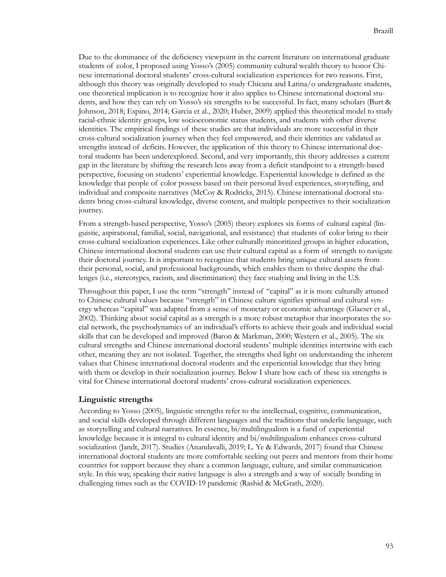Due to the dominance of the deficiency viewpoint in the current literature on international graduate students of color, I proposed using Yosso's (2005) community cultural wealth theory to honor Chinese international doctoral students' cross-cultural socialization experiences for two reasons. First, although this theory was originally developed to study Chicana and Latina/o undergraduate students, one theoretical implication is to recognize how it also applies to Chinese international doctoral students, and how they can rely on Yosso's six strengths to be successful. In fact, many scholars (Burt & Johnson, 2018; Espino, 2014; Garcia et al., 2020; Huber, 2009) applied this theoretical model to study racial-ethnic identity groups, low socioeconomic status students, and students with other diverse identities. The empirical findings of these studies are that individuals are more successful in their cross-cultural socialization journey when they feel empowered, and their identities are validated as strengths instead of deficits. However, the application of this theory to Chinese international doctoral students has been underexplored. Second, and very importantly, this theory addresses a current gap in the literature by shifting the research lens away from a deficit standpoint to a strength-based perspective, focusing on students' experiential knowledge. Experiential knowledge is defined as the knowledge that people of color possess based on their personal lived experiences, storytelling, and individual and composite narratives (McCoy & Rodricks, 2015). Chinese international doctoral students bring cross-cultural knowledge, diverse content, and multiple perspectives to their socialization journey.

From a strength-based perspective, Yosso's (2005) theory explores six forms of cultural capital (linguistic, aspirational, familial, social, navigational, and resistance) that students of color bring to their cross-cultural socialization experiences. Like other culturally minoritized groups in higher education, Chinese international doctoral students can use their cultural capital as a form of strength to navigate their doctoral journey. It is important to recognize that students bring unique cultural assets from their personal, social, and professional backgrounds, which enables them to thrive despite the challenges (i.e., stereotypes, racism, and discrimination) they face studying and living in the U.S.

Throughout this paper, I use the term "strength" instead of "capital" as it is more culturally attuned to Chinese cultural values because "strength" in Chinese culture signifies spiritual and cultural synergy whereas "capital" was adapted from a sense of monetary or economic advantage (Glaeser et al., 2002). Thinking about social capital as a strength is a more robust metaphor that incorporates the social network, the psychodynamics of an individual's efforts to achieve their goals and individual social skills that can be developed and improved (Baron & Markman, 2000; Western et al., 2005). The six cultural strengths and Chinese international doctoral students' multiple identities intertwine with each other, meaning they are not isolated. Together, the strengths shed light on understanding the inherent values that Chinese international doctoral students and the experiential knowledge that they bring with them or develop in their socialization journey. Below I share how each of these six strengths is vital for Chinese international doctoral students' cross-cultural socialization experiences.

#### **Linguistic strengths**

According to Yosso (2005), linguistic strengths refer to the intellectual, cognitive, communication, and social skills developed through different languages and the traditions that underlie language, such as storytelling and cultural narratives. In essence, bi/multilingualism is a fund of experiential knowledge because it is integral to cultural identity and bi/multilingualism enhances cross-cultural socialization (Jandt, 2017). Studies (Anandavalli, 2019; L. Ye & Edwards, 2017) found that Chinese international doctoral students are more comfortable seeking out peers and mentors from their home countries for support because they share a common language, culture, and similar communication style. In this way, speaking their native language is also a strength and a way of socially bonding in challenging times such as the COVID-19 pandemic (Rashid & McGrath, 2020).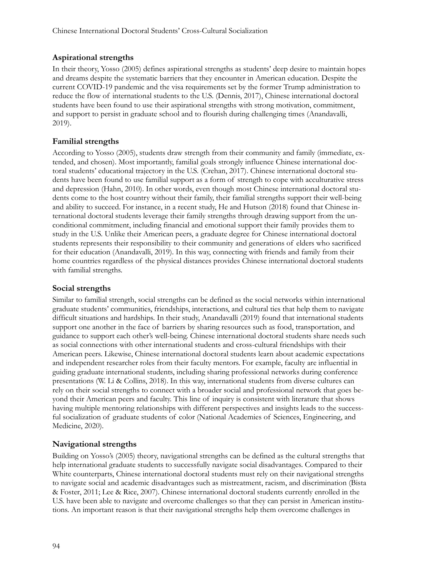#### **Aspirational strengths**

In their theory, Yosso (2005) defines aspirational strengths as students' deep desire to maintain hopes and dreams despite the systematic barriers that they encounter in American education. Despite the current COVID-19 pandemic and the visa requirements set by the former Trump administration to reduce the flow of international students to the U.S. (Dennis, 2017), Chinese international doctoral students have been found to use their aspirational strengths with strong motivation, commitment, and support to persist in graduate school and to flourish during challenging times (Anandavalli, 2019).

#### **Familial strengths**

According to Yosso (2005), students draw strength from their community and family (immediate, extended, and chosen). Most importantly, familial goals strongly influence Chinese international doctoral students' educational trajectory in the U.S. (Crehan, 2017). Chinese international doctoral students have been found to use familial support as a form of strength to cope with acculturative stress and depression (Hahn, 2010). In other words, even though most Chinese international doctoral students come to the host country without their family, their familial strengths support their well-being and ability to succeed. For instance, in a recent study, He and Hutson (2018) found that Chinese international doctoral students leverage their family strengths through drawing support from the unconditional commitment, including financial and emotional support their family provides them to study in the U.S. Unlike their American peers, a graduate degree for Chinese international doctoral students represents their responsibility to their community and generations of elders who sacrificed for their education (Anandavalli, 2019). In this way, connecting with friends and family from their home countries regardless of the physical distances provides Chinese international doctoral students with familial strengths.

#### **Social strengths**

Similar to familial strength, social strengths can be defined as the social networks within international graduate students' communities, friendships, interactions, and cultural ties that help them to navigate difficult situations and hardships. In their study, Anandavalli (2019) found that international students support one another in the face of barriers by sharing resources such as food, transportation, and guidance to support each other's well-being. Chinese international doctoral students share needs such as social connections with other international students and cross-cultural friendships with their American peers. Likewise, Chinese international doctoral students learn about academic expectations and independent researcher roles from their faculty mentors. For example, faculty are influential in guiding graduate international students, including sharing professional networks during conference presentations (W. Li & Collins, 2018). In this way, international students from diverse cultures can rely on their social strengths to connect with a broader social and professional network that goes beyond their American peers and faculty. This line of inquiry is consistent with literature that shows having multiple mentoring relationships with different perspectives and insights leads to the successful socialization of graduate students of color (National Academies of Sciences, Engineering, and Medicine, 2020).

#### **Navigational strengths**

Building on Yosso's (2005) theory, navigational strengths can be defined as the cultural strengths that help international graduate students to successfully navigate social disadvantages. Compared to their White counterparts, Chinese international doctoral students must rely on their navigational strengths to navigate social and academic disadvantages such as mistreatment, racism, and discrimination (Bista & Foster, 2011; Lee & Rice, 2007). Chinese international doctoral students currently enrolled in the U.S. have been able to navigate and overcome challenges so that they can persist in American institutions. An important reason is that their navigational strengths help them overcome challenges in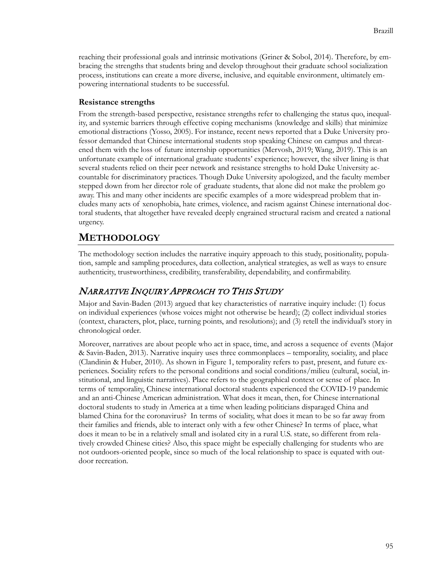reaching their professional goals and intrinsic motivations (Griner & Sobol, 2014). Therefore, by embracing the strengths that students bring and develop throughout their graduate school socialization process, institutions can create a more diverse, inclusive, and equitable environment, ultimately empowering international students to be successful.

#### **Resistance strengths**

From the strength-based perspective, resistance strengths refer to challenging the status quo, inequality, and systemic barriers through effective coping mechanisms (knowledge and skills) that minimize emotional distractions (Yosso, 2005). For instance, recent news reported that a Duke University professor demanded that Chinese international students stop speaking Chinese on campus and threatened them with the loss of future internship opportunities (Mervosh, 2019; Wang, 2019). This is an unfortunate example of international graduate students' experience; however, the silver lining is that several students relied on their peer network and resistance strengths to hold Duke University accountable for discriminatory practices. Though Duke University apologized, and the faculty member stepped down from her director role of graduate students, that alone did not make the problem go away. This and many other incidents are specific examples of a more widespread problem that includes many acts of xenophobia, hate crimes, violence, and racism against Chinese international doctoral students, that altogether have revealed deeply engrained structural racism and created a national urgency.

## **METHODOLOGY**

The methodology section includes the narrative inquiry approach to this study, positionality, population, sample and sampling procedures, data collection, analytical strategies, as well as ways to ensure authenticity, trustworthiness, credibility, transferability, dependability, and confirmability.

### NARRATIVE INQUIRY APPROACH TO THIS STUDY

Major and Savin-Baden (2013) argued that key characteristics of narrative inquiry include: (1) focus on individual experiences (whose voices might not otherwise be heard); (2) collect individual stories (context, characters, plot, place, turning points, and resolutions); and (3) retell the individual's story in chronological order.

Moreover, narratives are about people who act in space, time, and across a sequence of events (Major & Savin-Baden, 2013). Narrative inquiry uses three commonplaces – temporality, sociality, and place (Clandinin & Huber, 2010). As shown in Figure 1, temporality refers to past, present, and future experiences. Sociality refers to the personal conditions and social conditions/milieu (cultural, social, institutional, and linguistic narratives). Place refers to the geographical context or sense of place. In terms of temporality, Chinese international doctoral students experienced the COVID-19 pandemic and an anti-Chinese American administration. What does it mean, then, for Chinese international doctoral students to study in America at a time when leading politicians disparaged China and blamed China for the coronavirus? In terms of sociality, what does it mean to be so far away from their families and friends, able to interact only with a few other Chinese? In terms of place, what does it mean to be in a relatively small and isolated city in a rural U.S. state, so different from relatively crowded Chinese cities? Also, this space might be especially challenging for students who are not outdoors-oriented people, since so much of the local relationship to space is equated with outdoor recreation.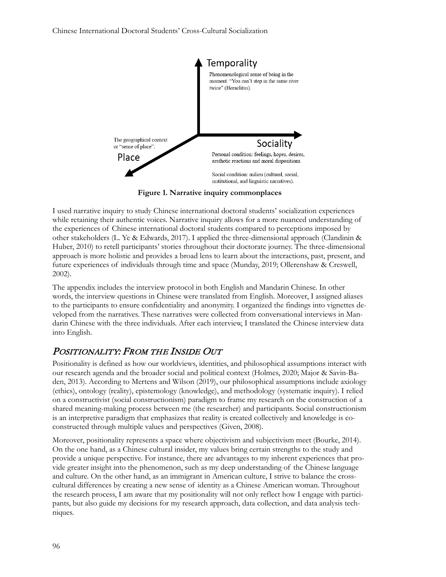

**Figure 1. Narrative inquiry commonplaces** 

I used narrative inquiry to study Chinese international doctoral students' socialization experiences while retaining their authentic voices. Narrative inquiry allows for a more nuanced understanding of the experiences of Chinese international doctoral students compared to perceptions imposed by other stakeholders (L. Ye & Edwards, 2017). I applied the three-dimensional approach (Clandinin & Huber, 2010) to retell participants' stories throughout their doctorate journey. The three-dimensional approach is more holistic and provides a broad lens to learn about the interactions, past, present, and future experiences of individuals through time and space (Munday, 2019; Ollerenshaw & Creswell, 2002).

The appendix includes the interview protocol in both English and Mandarin Chinese. In other words, the interview questions in Chinese were translated from English. Moreover, I assigned aliases to the participants to ensure confidentiality and anonymity. I organized the findings into vignettes developed from the narratives. These narratives were collected from conversational interviews in Mandarin Chinese with the three individuals. After each interview, I translated the Chinese interview data into English.

## POSITIONALITY: FROM THE INSIDE OUT

Positionality is defined as how our worldviews, identities, and philosophical assumptions interact with our research agenda and the broader social and political context (Holmes, 2020; Major & Savin-Baden, 2013). According to Mertens and Wilson (2019), our philosophical assumptions include axiology (ethics), ontology (reality), epistemology (knowledge), and methodology (systematic inquiry). I relied on a constructivist (social constructionism) paradigm to frame my research on the construction of a shared meaning-making process between me (the researcher) and participants. Social constructionism is an interpretive paradigm that emphasizes that reality is created collectively and knowledge is coconstructed through multiple values and perspectives (Given, 2008).

Moreover, positionality represents a space where objectivism and subjectivism meet (Bourke, 2014). On the one hand, as a Chinese cultural insider, my values bring certain strengths to the study and provide a unique perspective. For instance, there are advantages to my inherent experiences that provide greater insight into the phenomenon, such as my deep understanding of the Chinese language and culture. On the other hand, as an immigrant in American culture, I strive to balance the crosscultural differences by creating a new sense of identity as a Chinese American woman. Throughout the research process, I am aware that my positionality will not only reflect how I engage with participants, but also guide my decisions for my research approach, data collection, and data analysis techniques.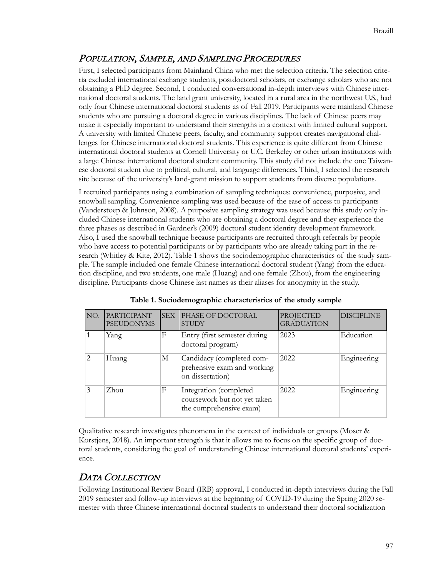## POPULATION, SAMPLE, AND SAMPLING PROCEDURES

First, I selected participants from Mainland China who met the selection criteria. The selection criteria excluded international exchange students, postdoctoral scholars, or exchange scholars who are not obtaining a PhD degree. Second, I conducted conversational in-depth interviews with Chinese international doctoral students. The land grant university, located in a rural area in the northwest U.S., had only four Chinese international doctoral students as of Fall 2019. Participants were mainland Chinese students who are pursuing a doctoral degree in various disciplines. The lack of Chinese peers may make it especially important to understand their strengths in a context with limited cultural support. A university with limited Chinese peers, faculty, and community support creates navigational challenges for Chinese international doctoral students. This experience is quite different from Chinese international doctoral students at Cornell University or U.C. Berkeley or other urban institutions with a large Chinese international doctoral student community. This study did not include the one Taiwanese doctoral student due to political, cultural, and language differences. Third, I selected the research site because of the university's land-grant mission to support students from diverse populations.

I recruited participants using a combination of sampling techniques: convenience, purposive, and snowball sampling. Convenience sampling was used because of the ease of access to participants (Vanderstoep & Johnson, 2008). A purposive sampling strategy was used because this study only included Chinese international students who are obtaining a doctoral degree and they experience the three phases as described in Gardner's (2009) doctoral student identity development framework. Also, I used the snowball technique because participants are recruited through referrals by people who have access to potential participants or by participants who are already taking part in the research (Whitley & Kite, 2012). Table 1 shows the sociodemographic characteristics of the study sample. The sample included one female Chinese international doctoral student (Yang) from the education discipline, and two students, one male (Huang) and one female (Zhou), from the engineering discipline. Participants chose Chinese last names as their aliases for anonymity in the study.

| NO.           | <b>PARTICIPANT</b><br><b>PSEUDONYMS</b> | <b>SEX</b> | PHASE OF DOCTORAL<br><b>STUDY</b>                                                 | <b>PROJECTED</b><br><b>GRADUATION</b> | <b>DISCIPLINE</b> |
|---------------|-----------------------------------------|------------|-----------------------------------------------------------------------------------|---------------------------------------|-------------------|
|               | Yang                                    | F          | Entry (first semester during<br>doctoral program)                                 | 2023                                  | Education         |
| $\mathcal{P}$ | Huang                                   | М          | Candidacy (completed com-<br>prehensive exam and working<br>on dissertation)      | 2022                                  | Engineering       |
|               | Zhou                                    | F          | Integration (completed<br>coursework but not yet taken<br>the comprehensive exam) | 2022                                  | Engineering       |

**Table 1. Sociodemographic characteristics of the study sample** 

Qualitative research investigates phenomena in the context of individuals or groups (Moser & Korstjens, 2018). An important strength is that it allows me to focus on the specific group of doctoral students, considering the goal of understanding Chinese international doctoral students' experience.

## DATA COLLECTION

Following Institutional Review Board (IRB) approval, I conducted in-depth interviews during the Fall 2019 semester and follow-up interviews at the beginning of COVID-19 during the Spring 2020 semester with three Chinese international doctoral students to understand their doctoral socialization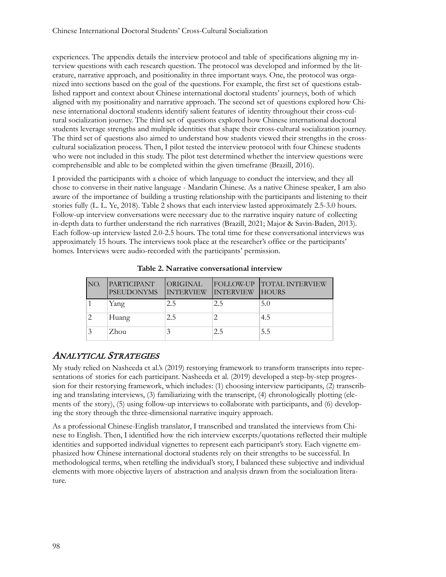experiences. The appendix details the interview protocol and table of specifications aligning my interview questions with each research question. The protocol was developed and informed by the literature, narrative approach, and positionality in three important ways. One, the protocol was organized into sections based on the goal of the questions. For example, the first set of questions established rapport and context about Chinese international doctoral students' journeys, both of which aligned with my positionality and narrative approach. The second set of questions explored how Chinese international doctoral students identify salient features of identity throughout their cross-cultural socialization journey. The third set of questions explored how Chinese international doctoral students leverage strengths and multiple identities that shape their cross-cultural socialization journey. The third set of questions also aimed to understand how students viewed their strengths in the crosscultural socialization process. Then, I pilot tested the interview protocol with four Chinese students who were not included in this study. The pilot test determined whether the interview questions were comprehensible and able to be completed within the given timeframe (Brazill, 2016).

I provided the participants with a choice of which language to conduct the interview, and they all chose to converse in their native language - Mandarin Chinese. As a native Chinese speaker, I am also aware of the importance of building a trusting relationship with the participants and listening to their stories fully (L. L. Ye, 2018). Table 2 shows that each interview lasted approximately 2.5-3.0 hours. Follow-up interview conversations were necessary due to the narrative inquiry nature of collecting in-depth data to further understand the rich narratives (Brazill, 2021; Major & Savin-Baden, 2013). Each follow-up interview lasted 2.0-2.5 hours. The total time for these conversational interviews was approximately 15 hours. The interviews took place at the researcher's office or the participants' homes. Interviews were audio-recorded with the participants' permission.

| NO. | <b>PARTICIPANT</b><br><b>PSEUDONYMS</b> | ORIGINAL<br><b>INTERVIEW</b> | FOLLOW-UP<br><b>INTERVIEW</b> | <b>TOTAL INTERVIEW</b><br><b>HOURS</b> |
|-----|-----------------------------------------|------------------------------|-------------------------------|----------------------------------------|
|     | Yang                                    | 2.5                          | 2.5                           | 5.0                                    |
| 2   | Huang                                   | 2.5                          |                               | 4.5                                    |
|     | Zhou                                    |                              | 2.5                           | 5.5                                    |

**Table 2. Narrative conversational interview**

## ANALYTICAL STRATEGIES

My study relied on Nasheeda et al.'s (2019) restorying framework to transform transcripts into representations of stories for each participant. Nasheeda et al. (2019) developed a step-by-step progression for their restorying framework, which includes: (1) choosing interview participants, (2) transcribing and translating interviews, (3) familiarizing with the transcript, (4) chronologically plotting (elements of the story), (5) using follow-up interviews to collaborate with participants, and (6) developing the story through the three-dimensional narrative inquiry approach.

As a professional Chinese-English translator, I transcribed and translated the interviews from Chinese to English. Then, I identified how the rich interview excerpts/quotations reflected their multiple identities and supported individual vignettes to represent each participant's story. Each vignette emphasized how Chinese international doctoral students rely on their strengths to be successful. In methodological terms, when retelling the individual's story, I balanced these subjective and individual elements with more objective layers of abstraction and analysis drawn from the socialization literature.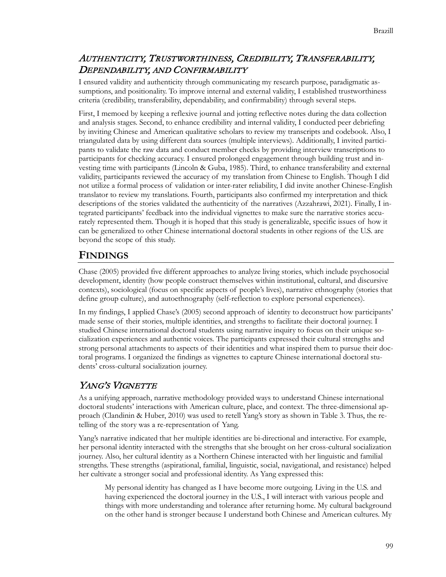## AUTHENTICITY, TRUSTWORTHINESS, CREDIBILITY, TRANSFERABILITY, DEPENDABILITY, AND CONFIRMABILITY

I ensured validity and authenticity through communicating my research purpose, paradigmatic assumptions, and positionality. To improve internal and external validity, I established trustworthiness criteria (credibility, transferability, dependability, and confirmability) through several steps.

First, I memoed by keeping a reflexive journal and jotting reflective notes during the data collection and analysis stages. Second, to enhance credibility and internal validity, I conducted peer debriefing by inviting Chinese and American qualitative scholars to review my transcripts and codebook. Also, I triangulated data by using different data sources (multiple interviews). Additionally, I invited participants to validate the raw data and conduct member checks by providing interview transcriptions to participants for checking accuracy. I ensured prolonged engagement through building trust and investing time with participants (Lincoln & Guba, 1985). Third, to enhance transferability and external validity, participants reviewed the accuracy of my translation from Chinese to English. Though I did not utilize a formal process of validation or inter-rater reliability, I did invite another Chinese-English translator to review my translations. Fourth, participants also confirmed my interpretation and thick descriptions of the stories validated the authenticity of the narratives (Azzahrawi, 2021). Finally, I integrated participants' feedback into the individual vignettes to make sure the narrative stories accurately represented them. Though it is hoped that this study is generalizable, specific issues of how it can be generalized to other Chinese international doctoral students in other regions of the U.S. are beyond the scope of this study.

## **FINDINGS**

Chase (2005) provided five different approaches to analyze living stories, which include psychosocial development, identity (how people construct themselves within institutional, cultural, and discursive contexts), sociological (focus on specific aspects of people's lives), narrative ethnography (stories that define group culture), and autoethnography (self-reflection to explore personal experiences).

In my findings, I applied Chase's (2005) second approach of identity to deconstruct how participants' made sense of their stories, multiple identities, and strengths to facilitate their doctoral journey. I studied Chinese international doctoral students using narrative inquiry to focus on their unique socialization experiences and authentic voices. The participants expressed their cultural strengths and strong personal attachments to aspects of their identities and what inspired them to pursue their doctoral programs. I organized the findings as vignettes to capture Chinese international doctoral students' cross-cultural socialization journey.

## YANG'S VIGNETTE

As a unifying approach, narrative methodology provided ways to understand Chinese international doctoral students' interactions with American culture, place, and context. The three-dimensional approach (Clandinin & Huber, 2010) was used to retell Yang's story as shown in Table 3. Thus, the retelling of the story was a re-representation of Yang.

Yang's narrative indicated that her multiple identities are bi-directional and interactive. For example, her personal identity interacted with the strengths that she brought on her cross-cultural socialization journey. Also, her cultural identity as a Northern Chinese interacted with her linguistic and familial strengths. These strengths (aspirational, familial, linguistic, social, navigational, and resistance) helped her cultivate a stronger social and professional identity. As Yang expressed this:

My personal identity has changed as I have become more outgoing. Living in the U.S. and having experienced the doctoral journey in the U.S., I will interact with various people and things with more understanding and tolerance after returning home. My cultural background on the other hand is stronger because I understand both Chinese and American cultures. My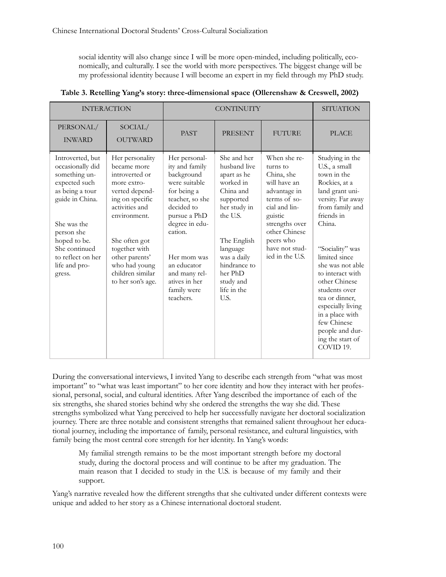social identity will also change since I will be more open-minded, including politically, economically, and culturally. I see the world with more perspectives. The biggest change will be my professional identity because I will become an expert in my field through my PhD study.

| <b>INTERACTION</b>                                                                                                                                                                                                         |                                                                                                                                                                                                                                                      | <b>CONTINUITY</b>                                                                                                                                                                                                                                       |                                                                                                                                                                                                                        |                                                                                                                                                                                                         | <b>SITUATION</b>                                                                                                                                                                                                                                                                                                                                                                               |
|----------------------------------------------------------------------------------------------------------------------------------------------------------------------------------------------------------------------------|------------------------------------------------------------------------------------------------------------------------------------------------------------------------------------------------------------------------------------------------------|---------------------------------------------------------------------------------------------------------------------------------------------------------------------------------------------------------------------------------------------------------|------------------------------------------------------------------------------------------------------------------------------------------------------------------------------------------------------------------------|---------------------------------------------------------------------------------------------------------------------------------------------------------------------------------------------------------|------------------------------------------------------------------------------------------------------------------------------------------------------------------------------------------------------------------------------------------------------------------------------------------------------------------------------------------------------------------------------------------------|
| PERSONAL/<br><b>INWARD</b>                                                                                                                                                                                                 | SOCIAL/<br><b>OUTWARD</b>                                                                                                                                                                                                                            | <b>PAST</b>                                                                                                                                                                                                                                             | <b>PRESENT</b>                                                                                                                                                                                                         | <b>FUTURE</b>                                                                                                                                                                                           | <b>PLACE</b>                                                                                                                                                                                                                                                                                                                                                                                   |
| Introverted, but<br>occasionally did<br>something un-<br>expected such<br>as being a tour<br>guide in China.<br>She was the<br>person she<br>hoped to be.<br>She continued<br>to reflect on her<br>life and pro-<br>gress. | Her personality<br>became more<br>introverted or<br>more extro-<br>verted depend-<br>ing on specific<br>activities and<br>environment.<br>She often got<br>together with<br>other parents'<br>who had young<br>children similar<br>to her son's age. | Her personal-<br>ity and family<br>background<br>were suitable<br>for being a<br>teacher, so she<br>decided to<br>pursue a PhD<br>degree in edu-<br>cation.<br>Her mom was<br>an educator<br>and many rel-<br>atives in her<br>family were<br>teachers. | She and her<br>husband live<br>apart as he<br>worked in<br>China and<br>supported<br>her study in<br>the U.S.<br>The English<br>language<br>was a daily<br>hindrance to<br>her PhD<br>study and<br>life in the<br>U.S. | When she re-<br>turns to<br>China, she<br>will have an<br>advantage in<br>terms of so-<br>cial and lin-<br>guistic<br>strengths over<br>other Chinese<br>peers who<br>have not stud-<br>ied in the U.S. | Studying in the<br>U.S., a small<br>town in the<br>Rockies, at a<br>land grant uni-<br>versity. Far away<br>from family and<br>friends in<br>China.<br>"Sociality" was<br>limited since<br>she was not able<br>to interact with<br>other Chinese<br>students over<br>tea or dinner,<br>especially living<br>in a place with<br>few Chinese<br>people and dur-<br>ing the start of<br>COVID 19. |

**Table 3. Retelling Yang's story: three-dimensional space (Ollerenshaw & Creswell, 2002)**

During the conversational interviews, I invited Yang to describe each strength from "what was most important" to "what was least important" to her core identity and how they interact with her professional, personal, social, and cultural identities. After Yang described the importance of each of the six strengths, she shared stories behind why she ordered the strengths the way she did. These strengths symbolized what Yang perceived to help her successfully navigate her doctoral socialization journey. There are three notable and consistent strengths that remained salient throughout her educational journey, including the importance of family, personal resistance, and cultural linguistics, with family being the most central core strength for her identity. In Yang's words:

My familial strength remains to be the most important strength before my doctoral study, during the doctoral process and will continue to be after my graduation. The main reason that I decided to study in the U.S. is because of my family and their support.

Yang's narrative revealed how the different strengths that she cultivated under different contexts were unique and added to her story as a Chinese international doctoral student.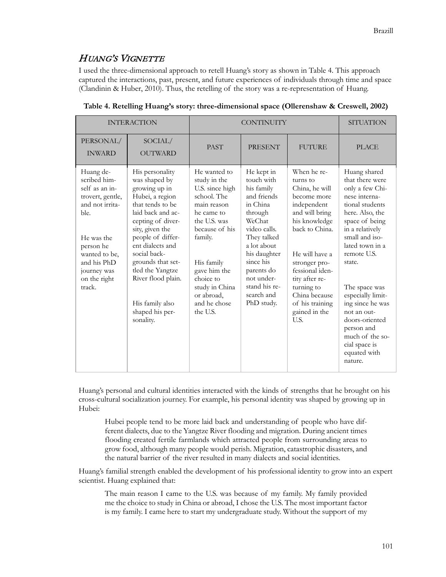## HUANG'S VIGNETTE

I used the three-dimensional approach to retell Huang's story as shown in Table 4. This approach captured the interactions, past, present, and future experiences of individuals through time and space (Clandinin & Huber, 2010). Thus, the retelling of the story was a re-representation of Huang.

| <b>INTERACTION</b>                                                                                                                                                                             |                                                                                                                                                                                                                                                                                                                                  | <b>CONTINUITY</b>                                                                                                                                                                                                                               |                                                                                                                                                                                                                                            |                                                                                                                                                                                                                                                                                 | <b>SITUATION</b>                                                                                                                                                                                                                                                                                                                                                                     |
|------------------------------------------------------------------------------------------------------------------------------------------------------------------------------------------------|----------------------------------------------------------------------------------------------------------------------------------------------------------------------------------------------------------------------------------------------------------------------------------------------------------------------------------|-------------------------------------------------------------------------------------------------------------------------------------------------------------------------------------------------------------------------------------------------|--------------------------------------------------------------------------------------------------------------------------------------------------------------------------------------------------------------------------------------------|---------------------------------------------------------------------------------------------------------------------------------------------------------------------------------------------------------------------------------------------------------------------------------|--------------------------------------------------------------------------------------------------------------------------------------------------------------------------------------------------------------------------------------------------------------------------------------------------------------------------------------------------------------------------------------|
| PERSONAL/<br><b>INWARD</b>                                                                                                                                                                     | SOCIAL/<br><b>OUTWARD</b>                                                                                                                                                                                                                                                                                                        | <b>PAST</b>                                                                                                                                                                                                                                     | <b>PRESENT</b>                                                                                                                                                                                                                             | <b>FUTURE</b>                                                                                                                                                                                                                                                                   | <b>PLACE</b>                                                                                                                                                                                                                                                                                                                                                                         |
| Huang de-<br>scribed him-<br>self as an in-<br>trovert, gentle,<br>and not irrita-<br>ble.<br>He was the<br>person he<br>wanted to be,<br>and his PhD<br>journey was<br>on the right<br>track. | His personality<br>was shaped by<br>growing up in<br>Hubei, a region<br>that tends to be<br>laid back and ac-<br>cepting of diver-<br>sity, given the<br>people of differ-<br>ent dialects and<br>social back-<br>grounds that set-<br>tled the Yangtze<br>River flood plain.<br>His family also<br>shaped his per-<br>sonality. | He wanted to<br>study in the<br>U.S. since high<br>school. The<br>main reason<br>he came to<br>the U.S. was<br>because of his<br>family.<br>His family<br>gave him the<br>choice to<br>study in China<br>or abroad,<br>and he chose<br>the U.S. | He kept in<br>touch with<br>his family<br>and friends<br>in China<br>through<br>WeChat<br>video calls.<br>They talked<br>a lot about<br>his daughter<br>since his<br>parents do<br>not under-<br>stand his re-<br>search and<br>PhD study. | When he re-<br>furns to<br>China, he will<br>become more<br>independent<br>and will bring<br>his knowledge<br>back to China.<br>He will have a<br>stronger pro-<br>fessional iden-<br>tity after re-<br>turning to<br>China because<br>of his training<br>gained in the<br>U.S. | Huang shared<br>that there were<br>only a few Chi-<br>nese interna-<br>tional students<br>here. Also, the<br>space of being<br>in a relatively<br>small and iso-<br>lated town in a<br>remote U.S.<br>state.<br>The space was<br>especially limit-<br>ing since he was<br>not an out-<br>doors-oriented<br>person and<br>much of the so-<br>cial space is<br>equated with<br>nature. |

**Table 4. Retelling Huang's story: three-dimensional space (Ollerenshaw & Creswell, 2002)**

Huang's personal and cultural identities interacted with the kinds of strengths that he brought on his cross-cultural socialization journey. For example, his personal identity was shaped by growing up in Hubei:

Hubei people tend to be more laid back and understanding of people who have different dialects, due to the Yangtze River flooding and migration. During ancient times flooding created fertile farmlands which attracted people from surrounding areas to grow food, although many people would perish. Migration, catastrophic disasters, and the natural barrier of the river resulted in many dialects and social identities.

Huang's familial strength enabled the development of his professional identity to grow into an expert scientist. Huang explained that:

The main reason I came to the U.S. was because of my family. My family provided me the choice to study in China or abroad, I chose the U.S. The most important factor is my family. I came here to start my undergraduate study. Without the support of my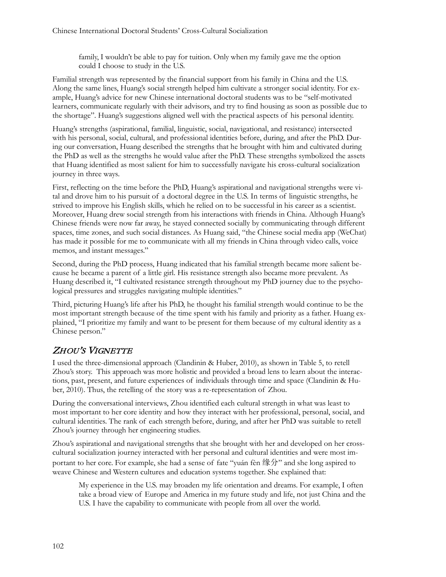family, I wouldn't be able to pay for tuition. Only when my family gave me the option could I choose to study in the U.S.

Familial strength was represented by the financial support from his family in China and the U.S. Along the same lines, Huang's social strength helped him cultivate a stronger social identity. For example, Huang's advice for new Chinese international doctoral students was to be "self-motivated learners, communicate regularly with their advisors, and try to find housing as soon as possible due to the shortage". Huang's suggestions aligned well with the practical aspects of his personal identity.

Huang's strengths (aspirational, familial, linguistic, social, navigational, and resistance) intersected with his personal, social, cultural, and professional identities before, during, and after the PhD. During our conversation, Huang described the strengths that he brought with him and cultivated during the PhD as well as the strengths he would value after the PhD. These strengths symbolized the assets that Huang identified as most salient for him to successfully navigate his cross-cultural socialization journey in three ways.

First, reflecting on the time before the PhD, Huang's aspirational and navigational strengths were vital and drove him to his pursuit of a doctoral degree in the U.S. In terms of linguistic strengths, he strived to improve his English skills, which he relied on to be successful in his career as a scientist. Moreover, Huang drew social strength from his interactions with friends in China. Although Huang's Chinese friends were now far away, he stayed connected socially by communicating through different spaces, time zones, and such social distances. As Huang said, "the Chinese social media app (WeChat) has made it possible for me to communicate with all my friends in China through video calls, voice memos, and instant messages."

Second, during the PhD process, Huang indicated that his familial strength became more salient because he became a parent of a little girl. His resistance strength also became more prevalent. As Huang described it, "I cultivated resistance strength throughout my PhD journey due to the psychological pressures and struggles navigating multiple identities."

Third, picturing Huang's life after his PhD, he thought his familial strength would continue to be the most important strength because of the time spent with his family and priority as a father. Huang explained, "I prioritize my family and want to be present for them because of my cultural identity as a Chinese person."

## ZHOU'S VIGNETTE

I used the three-dimensional approach (Clandinin & Huber, 2010), as shown in Table 5, to retell Zhou's story. This approach was more holistic and provided a broad lens to learn about the interactions, past, present, and future experiences of individuals through time and space (Clandinin & Huber, 2010). Thus, the retelling of the story was a re-representation of Zhou.

During the conversational interviews, Zhou identified each cultural strength in what was least to most important to her core identity and how they interact with her professional, personal, social, and cultural identities. The rank of each strength before, during, and after her PhD was suitable to retell Zhou's journey through her engineering studies.

Zhou's aspirational and navigational strengths that she brought with her and developed on her crosscultural socialization journey interacted with her personal and cultural identities and were most important to her core. For example, she had a sense of fate "yuán fèn 缘分" and she long aspired to weave Chinese and Western cultures and education systems together. She explained that:

My experience in the U.S. may broaden my life orientation and dreams. For example, I often take a broad view of Europe and America in my future study and life, not just China and the U.S. I have the capability to communicate with people from all over the world.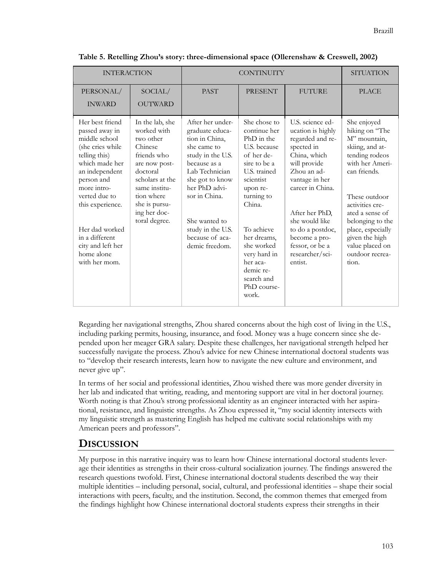| <b>INTERACTION</b>                                                                                                                                                                                                                                                                    |                                                                                                                                                                                                        | <b>CONTINUITY</b>                                                                                                                                                                                                                                           |                                                                                                                                                                                                                                                                                     |                                                                                                                                                                                                                                                                                        | <b>SITUATION</b>                                                                                                                                                                                                                                                                       |
|---------------------------------------------------------------------------------------------------------------------------------------------------------------------------------------------------------------------------------------------------------------------------------------|--------------------------------------------------------------------------------------------------------------------------------------------------------------------------------------------------------|-------------------------------------------------------------------------------------------------------------------------------------------------------------------------------------------------------------------------------------------------------------|-------------------------------------------------------------------------------------------------------------------------------------------------------------------------------------------------------------------------------------------------------------------------------------|----------------------------------------------------------------------------------------------------------------------------------------------------------------------------------------------------------------------------------------------------------------------------------------|----------------------------------------------------------------------------------------------------------------------------------------------------------------------------------------------------------------------------------------------------------------------------------------|
| PERSONAL/<br><b>INWARD</b>                                                                                                                                                                                                                                                            | SOCIAL/<br><b>OUTWARD</b>                                                                                                                                                                              | <b>PAST</b>                                                                                                                                                                                                                                                 | <b>PRESENT</b>                                                                                                                                                                                                                                                                      | <b>FUTURE</b>                                                                                                                                                                                                                                                                          | <b>PLACE</b>                                                                                                                                                                                                                                                                           |
| Her best friend<br>passed away in<br>middle school<br>(she cries while<br>telling this)<br>which made her<br>an independent<br>person and<br>more intro-<br>verted due to<br>this experience.<br>Her dad worked<br>in a different<br>city and left her<br>home alone<br>with her mom. | In the lab, she<br>worked with<br>two other<br>Chinese<br>friends who<br>are now post-<br>doctoral<br>scholars at the<br>same institu-<br>tion where<br>she is pursu-<br>ing her doc-<br>toral degree. | After her under-<br>graduate educa-<br>tion in China,<br>she came to<br>study in the U.S.<br>because as a<br>Lab Technician<br>she got to know<br>her PhD advi-<br>sor in China.<br>She wanted to<br>study in the U.S.<br>because of aca-<br>demic freedom. | She chose to<br>continue her<br>PhD in the<br>U.S. because<br>of her de-<br>sire to be a<br>U.S. trained<br>scientist<br>upon re-<br>turning to<br>China.<br>To achieve<br>her dreams,<br>she worked<br>very hard in<br>her aca-<br>demic re-<br>search and<br>PhD course-<br>work. | U.S. science ed-<br>ucation is highly<br>regarded and re-<br>spected in<br>China, which<br>will provide<br>Zhou an ad-<br>vantage in her<br>career in China.<br>After her PhD,<br>she would like<br>to do a postdoc,<br>become a pro-<br>fessor, or be a<br>researcher/sci-<br>entist. | She enjoyed<br>hiking on "The<br>M" mountain,<br>skiing, and at-<br>tending rodeos<br>with her Ameri-<br>can friends.<br>These outdoor<br>activities cre-<br>ated a sense of<br>belonging to the<br>place, especially<br>given the high<br>value placed on<br>outdoor recrea-<br>tion. |

**Table 5. Retelling Zhou's story: three-dimensional space (Ollerenshaw & Creswell, 2002)**

Regarding her navigational strengths, Zhou shared concerns about the high cost of living in the U.S., including parking permits, housing, insurance, and food. Money was a huge concern since she depended upon her meager GRA salary. Despite these challenges, her navigational strength helped her successfully navigate the process. Zhou's advice for new Chinese international doctoral students was to "develop their research interests, learn how to navigate the new culture and environment, and never give up".

In terms of her social and professional identities, Zhou wished there was more gender diversity in her lab and indicated that writing, reading, and mentoring support are vital in her doctoral journey. Worth noting is that Zhou's strong professional identity as an engineer interacted with her aspirational, resistance, and linguistic strengths. As Zhou expressed it, "my social identity intersects with my linguistic strength as mastering English has helped me cultivate social relationships with my American peers and professors".

## **DISCUSSION**

My purpose in this narrative inquiry was to learn how Chinese international doctoral students leverage their identities as strengths in their cross-cultural socialization journey. The findings answered the research questions twofold. First, Chinese international doctoral students described the way their multiple identities – including personal, social, cultural, and professional identities – shape their social interactions with peers, faculty, and the institution. Second, the common themes that emerged from the findings highlight how Chinese international doctoral students express their strengths in their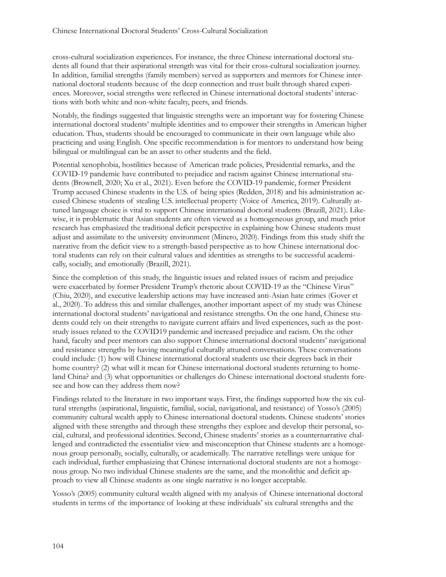cross-cultural socialization experiences. For instance, the three Chinese international doctoral students all found that their aspirational strength was vital for their cross-cultural socialization journey. In addition, familial strengths (family members) served as supporters and mentors for Chinese international doctoral students because of the deep connection and trust built through shared experiences. Moreover, social strengths were reflected in Chinese international doctoral students' interactions with both white and non-white faculty, peers, and friends.

Notably, the findings suggested that linguistic strengths were an important way for fostering Chinese international doctoral students' multiple identities and to empower their strengths in American higher education. Thus, students should be encouraged to communicate in their own language while also practicing and using English. One specific recommendation is for mentors to understand how being bilingual or multilingual can be an asset to other students and the field.

Potential xenophobia, hostilities because of American trade policies, Presidential remarks, and the COVID-19 pandemic have contributed to prejudice and racism against Chinese international students (Brownell, 2020; Xu et al., 2021). Even before the COVID-19 pandemic, former President Trump accused Chinese students in the U.S. of being spies (Redden, 2018) and his administration accused Chinese students of stealing U.S. intellectual property (Voice of America, 2019). Culturally attuned language choice is vital to support Chinese international doctoral students (Brazill, 2021). Likewise, it is problematic that Asian students are often viewed as a homogeneous group, and much prior research has emphasized the traditional deficit perspective in explaining how Chinese students must adjust and assimilate to the university environment (Minero, 2020). Findings from this study shift the narrative from the deficit view to a strength-based perspective as to how Chinese international doctoral students can rely on their cultural values and identities as strengths to be successful academically, socially, and emotionally (Brazill, 2021).

Since the completion of this study, the linguistic issues and related issues of racism and prejudice were exacerbated by former President Trump's rhetoric about COVID-19 as the "Chinese Virus" (Chiu, 2020), and executive leadership actions may have increased anti-Asian hate crimes (Gover et al., 2020). To address this and similar challenges, another important aspect of my study was Chinese international doctoral students' navigational and resistance strengths. On the one hand, Chinese students could rely on their strengths to navigate current affairs and lived experiences, such as the poststudy issues related to the COVID19 pandemic and increased prejudice and racism. On the other hand, faculty and peer mentors can also support Chinese international doctoral students' navigational and resistance strengths by having meaningful culturally attuned conversations. These conversations could include: (1) how will Chinese international doctoral students use their degrees back in their home country? (2) what will it mean for Chinese international doctoral students returning to homeland China? and (3) what opportunities or challenges do Chinese international doctoral students foresee and how can they address them now?

Findings related to the literature in two important ways. First, the findings supported how the six cultural strengths (aspirational, linguistic, familial, social, navigational, and resistance) of Yosso's (2005) community cultural wealth apply to Chinese international doctoral students. Chinese students' stories aligned with these strengths and through these strengths they explore and develop their personal, social, cultural, and professional identities. Second, Chinese students' stories as a counternarrative challenged and contradicted the essentialist view and misconception that Chinese students are a homogenous group personally, socially, culturally, or academically. The narrative retellings were unique for each individual, further emphasizing that Chinese international doctoral students are not a homogenous group. No two individual Chinese students are the same, and the monolithic and deficit approach to view all Chinese students as one single narrative is no longer acceptable.

Yosso's (2005) community cultural wealth aligned with my analysis of Chinese international doctoral students in terms of the importance of looking at these individuals' six cultural strengths and the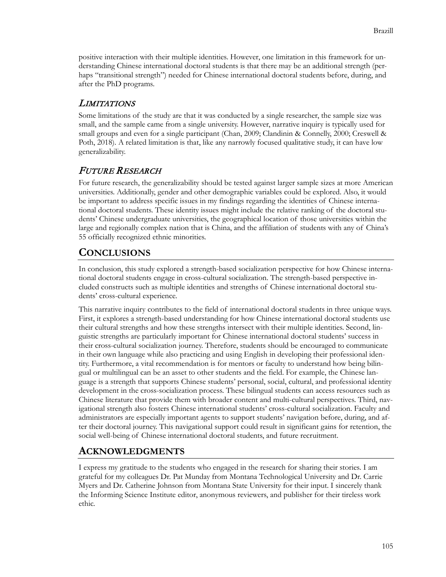positive interaction with their multiple identities. However, one limitation in this framework for understanding Chinese international doctoral students is that there may be an additional strength (perhaps "transitional strength") needed for Chinese international doctoral students before, during, and after the PhD programs.

## LIMITATIONS

Some limitations of the study are that it was conducted by a single researcher, the sample size was small, and the sample came from a single university. However, narrative inquiry is typically used for small groups and even for a single participant (Chan, 2009; Clandinin & Connelly, 2000; Creswell & Poth, 2018). A related limitation is that, like any narrowly focused qualitative study, it can have low generalizability.

## FUTURE RESEARCH

For future research, the generalizability should be tested against larger sample sizes at more American universities. Additionally, gender and other demographic variables could be explored. Also, it would be important to address specific issues in my findings regarding the identities of Chinese international doctoral students. These identity issues might include the relative ranking of the doctoral students' Chinese undergraduate universities, the geographical location of those universities within the large and regionally complex nation that is China, and the affiliation of students with any of China's 55 officially recognized ethnic minorities.

# **CONCLUSIONS**

In conclusion, this study explored a strength-based socialization perspective for how Chinese international doctoral students engage in cross-cultural socialization. The strength-based perspective included constructs such as multiple identities and strengths of Chinese international doctoral students' cross-cultural experience.

This narrative inquiry contributes to the field of international doctoral students in three unique ways. First, it explores a strength-based understanding for how Chinese international doctoral students use their cultural strengths and how these strengths intersect with their multiple identities. Second, linguistic strengths are particularly important for Chinese international doctoral students' success in their cross-cultural socialization journey. Therefore, students should be encouraged to communicate in their own language while also practicing and using English in developing their professional identity. Furthermore, a vital recommendation is for mentors or faculty to understand how being bilingual or multilingual can be an asset to other students and the field. For example, the Chinese language is a strength that supports Chinese students' personal, social, cultural, and professional identity development in the cross-socialization process. These bilingual students can access resources such as Chinese literature that provide them with broader content and multi-cultural perspectives. Third, navigational strength also fosters Chinese international students' cross-cultural socialization. Faculty and administrators are especially important agents to support students' navigation before, during, and after their doctoral journey. This navigational support could result in significant gains for retention, the social well-being of Chinese international doctoral students, and future recruitment.

## **ACKNOWLEDGMENTS**

I express my gratitude to the students who engaged in the research for sharing their stories. I am grateful for my colleagues Dr. Pat Munday from Montana Technological University and Dr. Carrie Myers and Dr. Catherine Johnson from Montana State University for their input. I sincerely thank the Informing Science Institute editor, anonymous reviewers, and publisher for their tireless work ethic.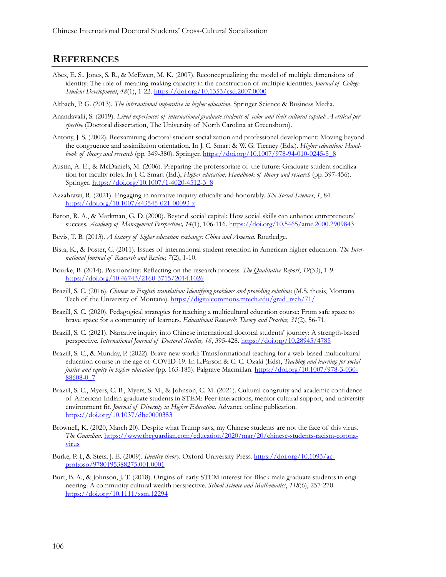#### **REFERENCES**

- Abes, E. S., Jones, S. R., & McEwen, M. K. (2007). Reconceptualizing the model of multiple dimensions of identity: The role of meaning-making capacity in the construction of multiple identities. *Journal of College Student Development*, *48*(1), 1-22. <https://doi.org/10.1353/csd.2007.0000>
- Altbach, P. G. (2013). *The international imperative in higher education*. Springer Science & Business Media.
- Anandavalli, S. (2019). *Lived experiences of international graduate students of color and their cultural capital: A critical perspective* (Doctoral dissertation, The University of North Carolina at Greensboro).
- Antony, J. S. (2002). Reexamining doctoral student socialization and professional development: Moving beyond the congruence and assimilation orientation. In J. C. Smart & W. G. Tierney (Eds.). *Higher education: Handbook of theory and research* (pp. 349-380). Springer. [https://doi.org/10.1007/978](https://doi.org/10.1007/978-94-010-0245-5_8)-94-010-0245-5\_8
- Austin, A. E., & McDaniels, M. (2006). Preparing the professoriate of the future: Graduate student socialization for faculty roles. In J. C. Smart (Ed.), *Higher education: Handbook of theory and research* (pp. 397-456). Springer. [https://doi.org/10.1007/1](https://doi.org/10.1007/1-4020-4512-3_8)-4020-4512-3\_8
- Azzahrawi, R. (2021). Engaging in narrative inquiry ethically and honorably. *SN Social Sciences*, *1*, 84. [https://doi.org/10.1007/s43545](https://doi.org/10.1007/s43545-021-00093-x)-021-00093-x
- Baron, R. A., & Markman, G. D. (2000). Beyond social capital: How social skills can enhance entrepreneurs' success. *Academy of Management Perspectives, 14*(1), 106-116. <https://doi.org/10.5465/ame.2000.2909843>
- Bevis, T. B. (2013). *A history of higher education exchange: China and America*. Routledge.
- Bista, K., & Foster, C. (2011). Issues of international student retention in American higher education. *The International Journal of Research and Review, 7*(2), 1-10.
- Bourke, B. (2014). Positionality: Reflecting on the research process. *The Qualitative Report*, *19*(33), 1-9. [https://doi.org/10.46743/2160](https://doi.org/10.46743/2160-3715/2014.1026)-3715/2014.1026
- Brazill, S. C. (2016). *Chinese to English translation: Identifying problems and providing solutions* (M.S. thesis, Montana Tech of the University of Montana). [https://digitalcommons.mtech.edu/grad\\_rsch/71/](https://digitalcommons.mtech.edu/grad_rsch/71/)
- Brazill, S. C. (2020). Pedagogical strategies for teaching a multicultural education course: From safe space to brave space for a community of learners. *Educational Research: Theory and Practice, 31*(2), 56-71.
- Brazill, S. C. (2021). Narrative inquiry into Chinese international doctoral students' journey: A strength-based perspective. International Journal of Doctoral Studies, 16, 395-428. <https://doi.org/10.28945/4785>
- Brazill, S. C., & Munday, P. (2022). Brave new world: Transformational teaching for a web-based multicultural education course in the age of COVID-19. In L.Parson & C. C. Ozaki (Eds), *Teaching and learning for social justice and equity in higher education* (pp. 163-185). Palgrave Macmillan. [https://doi.org/10.1007/978](https://doi.org/10.1007/978-3-030-88608-0_7)-3-030- [88608-](https://doi.org/10.1007/978-3-030-88608-0_7)0\_7
- Brazill, S. C., Myers, C. B., Myers, S. M., & Johnson, C. M. (2021). Cultural congruity and academic confidence of American Indian graduate students in STEM: Peer interactions, mentor cultural support, and university environment fit. *Journal of Diversity in Higher Education.* Advance online publication. <https://doi.org/10.1037/dhe0000353>
- Brownell, K. (2020, March 20). Despite what Trump says, my Chinese students are not the face of this virus. *The Guardian.* [https://www.theguardian.com/education/2020/mar/20/chinese](https://www.theguardian.com/education/2020/mar/20/chinese-students-racism-coronavirus)-students-racism-corona[virus](https://www.theguardian.com/education/2020/mar/20/chinese-students-racism-coronavirus)
- Burke, P. J., & Stets, J. E. (2009). *Identity theory*. Oxford University Press. [https://doi.org/10.1093/ac](https://doi.org/10.1093/acprof:oso/9780195388275.001.0001)[prof:oso/9780195388275.001.0001](https://doi.org/10.1093/acprof:oso/9780195388275.001.0001)
- Burt, B. A., & Johnson, J. T. (2018). Origins of early STEM interest for Black male graduate students in engineering: A community cultural wealth perspective. *School Science and Mathematics*, *118*(6), 257-270. <https://doi.org/10.1111/ssm.12294>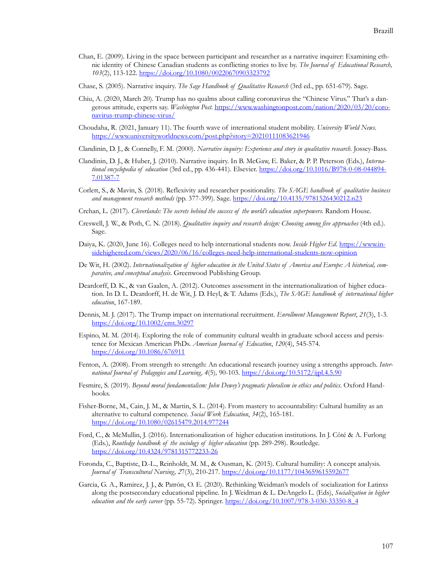- Chan, E. (2009). Living in the space between participant and researcher as a narrative inquirer: Examining ethnic identity of Chinese Canadian students as conflicting stories to live by. *The Journal of Educational Research, 103*(2), 113-122. <https://doi.org/10.1080/00220670903323792>
- Chase, S. (2005). Narrative inquiry. *The Sage Handbook of Qualitative Research* (3rd ed., pp. 651-679). Sage.
- Chiu, A. (2020, March 20). Trump has no qualms about calling coronavirus the "Chinese Virus." That's a dangerous attitude, experts say. *Washington Post.* [https://www.washingtonpost.com/nation/2020/03/20/](https://www.washingtonpost.com/nation/2020/03/20/coronavirus-trump-chinese-virus/)coronavirus[-trump-](https://www.washingtonpost.com/nation/2020/03/20/coronavirus-trump-chinese-virus/)chinese-virus/
- Choudaha, R. (2021, January 11). The fourth wave of international student mobility. *University World News*[.](https://www.universityworldnews.com/post.php?story=20210111083621946) <https://www.universityworldnews.com/post.php?story=20210111083621946>
- Clandinin, D. J., & Connelly, F. M. (2000). *Narrative inquiry: Experience and story in qualitative research.* Jossey-Bass.
- Clandinin, D. J., & Huber, J. (2010). Narrative inquiry. In B. McGaw, E. Baker, & P. P. Peterson (Eds.), *International encyclopedia of education* (3rd ed., pp. 436-441). Elsevier. [https://doi.org/10.1016/B978](https://doi.org/10.1016/B978-0-08-044894-7.01387-7)-0-08-044894- [7.01387](https://doi.org/10.1016/B978-0-08-044894-7.01387-7)-7
- Corlett, S., & Mavin, S. (2018). Reflexivity and researcher positionality. *The SAGE handbook of qualitative business and management research methods* (pp. 377-399). Sage. <https://doi.org/10.4135/9781526430212.n23>
- Crehan, L. (2017). *Cleverlands: The secrets behind the success of the world's education superpowers.* Random House.
- Creswell, J. W., & Poth, C. N. (2018). *Qualitative inquiry and research design: Choosing among five approaches* (4th ed.). Sage.
- Daiya, K. (2020, June 16). Colleges need to help international students now. *Inside Higher Ed*. [https://www.in](https://www.insidehighered.com/views/2020/06/16/colleges-need-help-international-students-now-opinion)[sidehighered.com/views/2020/06/16/colleges](https://www.insidehighered.com/views/2020/06/16/colleges-need-help-international-students-now-opinion)-need-help-international-students-now-opinion
- De Wit, H. (2002). *Internationalization of higher education in the United States of America and Europe: A historical, comparative, and conceptual analysis*. Greenwood Publishing Group.
- Deardorff, D. K., & van Gaalen, A. (2012). Outcomes assessment in the internationalization of higher education. In D. L. Deardorff, H. de Wit, J. D. Heyl, & T. Adams (Eds.), *The SAGE handbook of international higher education*, 167-189.
- Dennis, M. J. (2017). The Trump impact on international recruitment. *Enrollment Management Report*, *21*(3), 1-3. <https://doi.org/10.1002/emt.30297>
- Espino, M. M. (2014). Exploring the role of community cultural wealth in graduate school access and persistence for Mexican American PhDs. *American Journal of Education*, *120*(4), 545-574. <https://doi.org/10.1086/676911>
- Fenton, A. (2008). From strength to strength: An educational research journey using a strengths approach. *International Journal of Pedagogies and Learning, 4*(5)*,* 90-103. <https://doi.org/10.5172/ijpl.4.5.90>
- Fesmire, S. (2019). *Beyond moral fundamentalism: John Dewey's pragmatic pluralism in ethics and politics*. Oxford Handbooks.
- Fisher-Borne, M., Cain, J. M., & Martin, S. L. (2014). From mastery to accountability: Cultural humility as an alternative to cultural competence. *Social Work Education*, *34*(2), 165-18[1.](https://doi.org/10.1080/02615479.2014.977244) <https://doi.org/10.1080/02615479.2014.977244>
- Ford, C., & McMullin, J. (2016). Internationalization of higher education institutions. In J. Côté & A. Furlong (Eds.), *Routledge handbook of the sociology of higher education* (pp. 289-298). Routledge. [https://doi.org/10.4324/9781315772233](https://doi.org/10.4324/9781315772233-26)-26
- Foronda, C., Baptiste, D.-L., Reinholdt, M. M., & Ousman, K. (2015). Cultural humility: A concept analysis. *Journal of Transcultural Nursing, 2*7(3), 210-217. <https://doi.org/10.1177/1043659615592677>
- Garcia, G. A., Ramirez, J. J., & Patrón, O. E. (2020). Rethinking Weidman's models of socialization for Latinxs along the postsecondary educational pipeline. In J. Weidman & L. DeAngelo L. (Eds), *Socialization in higher education and the early career* (pp. 55-72). Springer. [https://doi.org/10.1007/978](https://doi.org/10.1007/978-3-030-33350-8_4)-3-030-33350-8\_4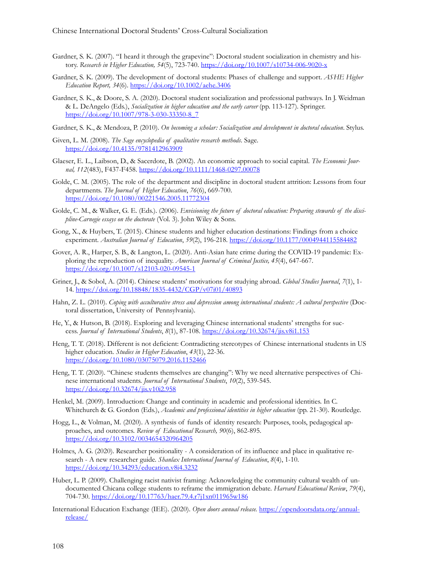- Gardner, S. K. (2007). "I heard it through the grapevine": Doctoral student socialization in chemistry and history. *Research in Higher Education, 54*(5), 723-740. [https://doi.org/10.1007/s10734](https://doi.org/10.1007/s10734-006-9020-x)-006-9020-x
- Gardner, S. K. (2009). The development of doctoral students: Phases of challenge and support. *ASHE Higher Education Report, 34*(6). <https://doi.org/10.1002/aehe.3406>
- Gardner, S. K., & Doore, S. A. (2020). Doctoral student socialization and professional pathways. In J. Weidman & L. DeAngelo (Eds.), *Socialization in higher education and the early career* (pp. 113-127). Springer. [https://doi.org/10.1007/978](https://doi.org/10.1007/978-3-030-33350-8_7)-3-030-33350-8\_7
- Gardner, S. K., & Mendoza, P. (2010). *On becoming a scholar: Socialization and development in doctoral education*. Stylus.
- Given, L. M. (2008). *The Sage encyclopedia of qualitative research methods*. Sage. <https://doi.org/10.4135/9781412963909>
- Glaeser, E. L., Laibson, D., & Sacerdote, B. (2002). An economic approach to social capital. *The Economic Journal, 112*(483), F437-F458. [https://doi.org/10.1111/1468](https://doi.org/10.1111/1468-0297.00078)-0297.00078
- Golde, C. M. (2005). The role of the department and discipline in doctoral student attrition: Lessons from four departments. *The Journal of Higher Education*, *76*(6), 669-700. <https://doi.org/10.1080/00221546.2005.11772304>
- Golde, C. M., & Walker, G. E. (Eds.). (2006). *Envisioning the future of doctoral education: Preparing stewards of the discipline-Carnegie essays on the doctorate* (Vol. 3). John Wiley & Sons.
- Gong, X., & Huybers, T. (2015). Chinese students and higher education destinations: Findings from a choice experiment. *Australian Journal of Education*, *59*(2), 196-218. <https://doi.org/10.1177/0004944115584482>
- Gover, A. R., Harper, S. B., & Langton, L. (2020). Anti-Asian hate crime during the COVID-19 pandemic: Exploring the reproduction of inequality. *American Journal of Criminal Justice, 45*(4), 647-667. [https://doi.org/10.1007/s12103](https://doi.org/10.1007/s12103-020-09545-1)-020-09545-1
- Griner, J., & Sobol, A. (2014). Chinese students' motivations for studying abroad. *Global Studies Journal*, *7*(1), 1- 14. [https://doi.org/10.18848/1835](https://doi.org/10.18848/1835-4432/CGP/v07i01/40893)-4432/CGP/v07i01/40893
- Hahn, Z. L. (2010). *Coping with acculturative stress and depression among international students: A cultural perspective* (Doctoral dissertation, University of Pennsylvania).
- He, Y., & Hutson, B. (2018). Exploring and leveraging Chinese international students' strengths for success. *Journal of International Students*, *8*(1), 87-108. <https://doi.org/10.32674/jis.v8i1.153>
- Heng, T. T. (2018). Different is not deficient: Contradicting stereotypes of Chinese international students in US higher education. *Studies in Higher Education*, *43*(1), 22-36. <https://doi.org/10.1080/03075079.2016.1152466>
- Heng, T. T. (2020). "Chinese students themselves are changing": Why we need alternative perspectives of Chinese international students. *Journal of International Students*, *10*(2), 539-545. <https://doi.org/10.32674/jis.v10i2.958>
- Henkel, M. (2009). Introduction: Change and continuity in academic and professional identities. In C. Whitchurch & G. Gordon (Eds.), *Academic and professional identities in higher education* (pp. 21-30). Routledge.
- Hogg, L., & Volman, M. (2020). A synthesis of funds of identity research: Purposes, tools, pedagogical approaches, and outcomes. *Review of Educational Research, 90*(6), 862-895. <https://doi.org/10.3102/0034654320964205>
- Holmes, A. G. (2020). Researcher positionality A consideration of its influence and place in qualitative research - A new researcher guide. *Shanlax International Journal of Education*, *8*(4), 1-10. <https://doi.org/10.34293/education.v8i4.3232>
- Huber, L. P. (2009). Challenging racist nativist framing: Acknowledging the community cultural wealth of undocumented Chicana college students to reframe the immigration debate. *Harvard Educational Review*, *79*(4), 704-730.<https://doi.org/10.17763/haer.79.4.r7j1xn011965w186>
- International Education Exchange (IEE). (2020). *Open doors annual release.* [https://opendoorsdata.org/annual](https://opendoorsdata.org/annual-release/)[release/](https://opendoorsdata.org/annual-release/)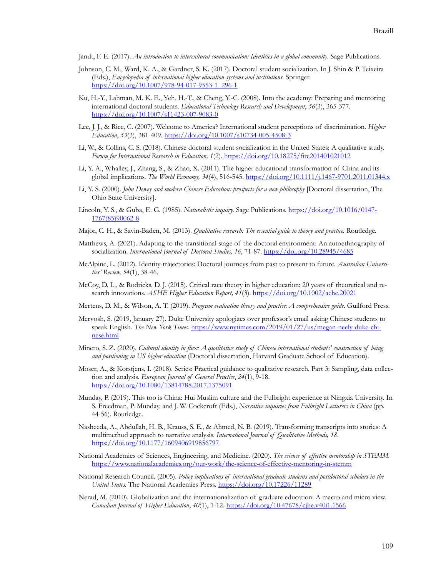Jandt, F. E. (2017). *An introduction to intercultural communication: Identities in a global community*. Sage Publications.

- Johnson, C. M., Ward, K. A., & Gardner, S. K. (2017). Doctoral student socialization. In J. Shin & P. Teixeira (Eds.), *Encyclopedia of international higher education systems and institutions.* Springer. [https://doi.org/10.1007/978](https://doi.org/10.1007/978-94-017-9553-1_296-1)-94-017-9553-1\_296-1
- Ku, H.-Y., Lahman, M. K. E., Yeh, H.-T., & Cheng, Y.-C. (2008). Into the academy: Preparing and mentoring international doctoral students. *Educational Technology Research and Development*, *56*(3), 365-377. [https://doi.org/10.1007/s11423](https://doi.org/10.1007/s11423-007-9083-0)-007-9083-0
- Lee, J. J., & Rice, C. (2007). Welcome to America? International student perceptions of discrimination. *Higher Education*, *53*(3), 381-409. [https://doi.org/10.1007/s10734](https://doi.org/10.1007/s10734-005-4508-3)-005-4508-3
- Li, W., & Collins, C. S. (2018). Chinese doctoral student socialization in the United States: A qualitative study. *Forum for International Research in Education, 1*(2). <https://doi.org/10.18275/fire201401021012>
- Li, Y. A., Whalley, J., Zhang, S., & Zhao, X. (2011). The higher educational transformation of China and its global implications. *The World Economy, 34*(4), 516-545. [https://doi.org/10.1111/j.1467](https://doi.org/10.1111/j.1467-9701.2011.01344.x)-9701.2011.01344.x
- Li, Y. S. (2000). *John Dewey and modern Chinese Education: prospects for a new philosophy* [Doctoral dissertation, The Ohio State University].
- Lincoln, Y. S., & Guba, E. G. (1985). *Naturalistic inquiry.* Sage Publications. [https://doi.org/10.1016/0147](https://doi.org/10.1016/0147-1767(85)90062-8) [1767\(85\)90062](https://doi.org/10.1016/0147-1767(85)90062-8)-8
- Major, C. H., & Savin-Baden, M. (2013). *Qualitative research: The essential guide to theory and practice.* Routledge.
- Matthews, A. (2021). Adapting to the transitional stage of the doctoral environment: An autoethnography of socialization. *International Journal of Doctoral Studies, 16*, 71-87. <https://doi.org/10.28945/4685>
- McAlpine, L. (2012). Identity-trajectories: Doctoral journeys from past to present to future. *Australian Universities' Review, 54*(1), 38-46.
- McCoy, D. L., & Rodricks, D. J. (2015). Critical race theory in higher education: 20 years of theoretical and research innovations. *ASHE Higher Education Report, 41*(3).<https://doi.org/10.1002/aehe.20021>
- Mertens, D. M., & Wilson, A. T. (2019). *Program evaluation theory and practice: A comprehensive guide*. Guilford Press.
- Mervosh, S. (2019, January 27). Duke University apologizes over professor's email asking Chinese students to speak English. *The New York Times.* https://www.nytimes.com/2019/01/27/us/megan-neely-duke-chinese.html
- Minero, S. Z. (2020). *Cultural identity in flux: A qualitative study of Chinese international students' construction of being and positioning in US higher education* (Doctoral dissertation, Harvard Graduate School of Education).
- Moser, A., & Korstjens, I. (2018). Series: Practical guidance to qualitative research. Part 3: Sampling, data collection and analysis. *European Journal of General Practice*, *24*(1), 9-18. <https://doi.org/10.1080/13814788.2017.1375091>
- Munday, P. (2019). This too is China: Hui Muslim culture and the Fulbright experience at Ningxia University. In S. Freedman, P. Munday, and J. W. Cockcroft (Eds.), *Narrative inquiries from Fulbright Lecturers in China* (pp. 44-56). Routledge.
- Nasheeda, A., Abdullah, H. B., Krauss, S. E., & Ahmed, N. B. (2019). Transforming transcripts into stories: A multimethod approach to narrative analysis. *International Journal of Qualitative Methods, 18*. <https://doi.org/10.1177/1609406919856797>
- National Academies of Sciences, Engineering, and Medicine. (2020). *The science of effective mentorship in STEMM.* [https://www.nationalacademies.org/our](https://www.nationalacademies.org/our-work/the-science-of-effective-mentoring-in-stemm)-work/the-science-of-effective-mentoring-in-stemm
- National Research Council. (2005). *Policy implications of international graduate students and postdoctoral scholars in the United States.* The National Academies Press. <https://doi.org/10.17226/11289>
- Nerad, M. (2010). Globalization and the internationalization of graduate education: A macro and micro view. *Canadian Journal of Higher Education*, *40*(1), 1-12. <https://doi.org/10.47678/cjhe.v40i1.1566>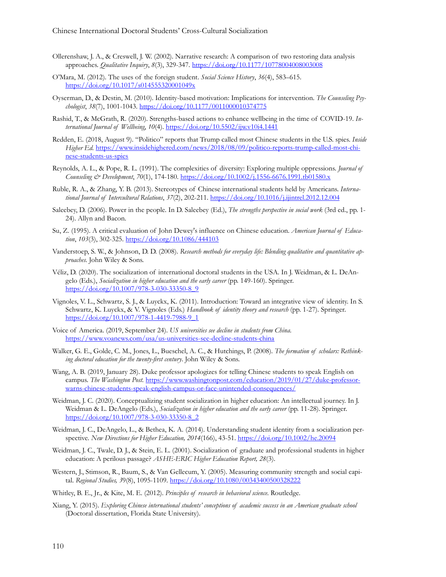- Ollerenshaw, J. A., & Creswell, J. W. (2002). Narrative research: A comparison of two restoring data analysis approaches. *Qualitative Inquiry*, *8*(3), 329-347[. https://doi.org/10.1177/10778004008003008](https://doi.org/10.1177/10778004008003008)
- O'Mara, M. (2012). The uses of the foreign student. *Social Science History*, *36*(4), 583–615. <https://doi.org/10.1017/s014555320001049x>
- Oyserman, D., & Destin, M. (2010). Identity-based motivation: Implications for intervention. *The Counseling Psychologist*, *38*(7), 1001-1043.<https://doi.org/10.1177/0011000010374775>
- Rashid, T., & McGrath, R. (2020). Strengths-based actions to enhance wellbeing in the time of COVID-19. *International Journal of Wellbeing*, *10*(4). <https://doi.org/10.5502/ijw.v10i4.1441>
- Redden, E. (2018, August 9). "Politico" reports that Trump called most Chinese students in the U.S. spies. *Inside Higher Ed.* [https://www.insidehighered.com/news/2018/08/09/politico](https://www.insidehighered.com/news/2018/08/09/politico-reports-trump-called-most-chinese-students-us-spies)-reports-trump-called-most-chinese-[students](https://www.insidehighered.com/news/2018/08/09/politico-reports-trump-called-most-chinese-students-us-spies)-us-spies
- Reynolds, A. L., & Pope, R. L. (1991). The complexities of diversity: Exploring multiple oppressions. *Journal of Counseling & Development*, *70*(1), 174-180. [https://doi.org/10.1002/j.1556](https://doi.org/10.1002/j.1556-6676.1991.tb01580.x)-6676.1991.tb01580.x
- Ruble, R. A., & Zhang, Y. B. (2013). Stereotypes of Chinese international students held by Americans. *International Journal of Intercultural Relations*, *37*(2), 202-211. [https://doi.org/10.1016/j.ijintrel.](https://doi.org/10.1016/j.ijintrel.2012.12.004)2012.12.004
- Saleebey, D. (2006). Power in the people. In D. Saleebey (Ed.), *The strengths perspective in social work* (3rd ed., pp. 1- 24). Allyn and Bacon.
- Su, Z. (1995). A critical evaluation of John Dewey's influence on Chinese education. *American Journal of Education*, *103*(3), 302-325.<https://doi.org/10.1086/444103>
- Vanderstoep, S. W., & Johnson, D. D. (2008). *Research methods for everyday life: Blending qualitative and quantitative approaches*. John Wiley & Sons.
- Véliz, D. (2020). The socialization of international doctoral students in the USA. In J. Weidman, & L. DeAngelo (Eds.), *Socialization in higher education and the early career* (pp. 149-160). Springer. [https://doi.org/10.1007/978](https://doi.org/10.1007/978-3-030-33350-8_9)-3-030-33350-8\_9
- Vignoles, V. L., Schwartz, S. J., & Luyckx, K. (2011). Introduction: Toward an integrative view of identity. In S. Schwartz, K. Luyckx, & V. Vignoles (Eds.) *Handbook of identity theory and research* (pp. 1-27). Springer. [https://doi.org/10.1007/978](https://doi.org/10.1007/978-1-4419-7988-9_1)-1-4419-7988-9\_1
- Voice of America. (2019, September 24). *US universities see decline in students from China.* [https://www.voanews.com/usa/us](https://www.voanews.com/usa/us-universities-see-decline-students-china)-universities-see-decline-students-china
- Walker, G. E., Golde, C. M., Jones, L., Bueschel, A. C., & Hutchings, P. (2008). *The formation of scholars: Rethinking doctoral education for the twenty-first century*. John Wiley & Sons.
- Wang, A. B. (2019, January 28). Duke professor apologizes for telling Chinese students to speak English on campus. *The Washington Post.* [https://www.washingtonpost.com/education/2019/01/27/duke](https://www.washingtonpost.com/education/2019/01/27/duke-professor-warns-chinese-students-speak-english-campus-or-face-unintended-consequences/)-professorwarns-chinese-students-speak-english-campus-or-face-unintended-[consequences/](https://www.washingtonpost.com/education/2019/01/27/duke-professor-warns-chinese-students-speak-english-campus-or-face-unintended-consequences/)
- Weidman, J. C. (2020). Conceptualizing student socialization in higher education: An intellectual journey. In J. Weidman & L. DeAngelo (Eds.), *Socialization in higher education and the early career* (pp. 11-28). Springer. h[ttps://doi.org/10.1007/978](https://doi.org/10.1007/978-3-030-33350-8_2)-3-030-33350-8\_2
- Weidman, J. C., DeAngelo, L., & Bethea, K. A. (2014). Understanding student identity from a socialization perspective. *New Directions for Higher Education, 2014*(166), 43-51[. https://doi.org/10.1002/he.20094](https://doi.org/10.1002/he.20094)
- Weidman, J. C., Twale, D. J., & Stein, E. L. (2001). Socialization of graduate and professional students in higher education: A perilous passage? *ASHE-ERIC Higher Education Report, 28*(3).
- Western, J., Stimson, R., Baum, S., & Van Gellecum, Y. (2005). Measuring community strength and social capital. *Regional Studies, 3*9(8), 1095-1109. [https://doi.org/10.1080/00343400500328](https://doi.org/10.1080/00343400500328222)222
- Whitley, B. E., Jr., & Kite, M. E. (2012). *Principles of research in behavioral science*. Routledge.
- Xiang, Y. (2015). *Exploring Chinese international students' conceptions of academic success in an American graduate school* (Doctoral dissertation, Florida State University).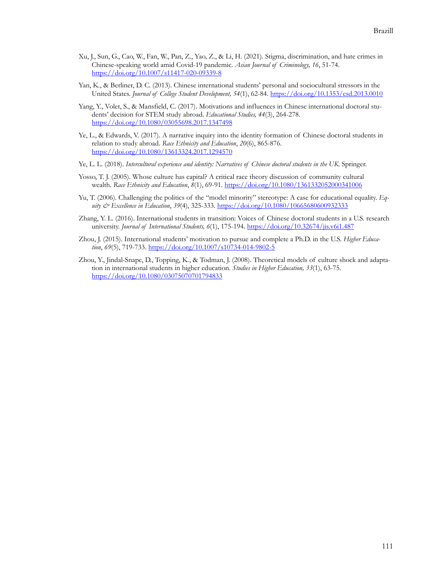- Xu, J., Sun, G., Cao, W., Fan, W., Pan, Z., Yao, Z., & Li, H. (2021). Stigma, discrimination, and hate crimes in Chinese-speaking world amid Covid-19 pandemic. *Asian Journal of Criminology, 16*, 51-74. [https://doi.org/10.1007/s11417](https://doi.org/10.1007/s11417-020-09339-8)-020-09339-8
- Yan, K., & Berliner, D. C. (2013). Chinese international students' personal and sociocultural stressors in the United States. *Journal of College Student Development, 54*(1), 62-84. <https://doi.org/10.1353/csd.2013.0010>
- Yang, Y., Volet, S., & Mansfield, C. (2017). Motivations and influences in Chinese international doctoral students' decision for STEM study abroad. *Educational Studies, 44*(3), 264-278. <https://doi.org/10.1080/03055698.2017.1347498>
- Ye, L., & Edwards, V. (2017). A narrative inquiry into the identity formation of Chinese doctoral students in relation to study abroad. *Race Ethnicity and Education*, *20*(6), 865-876. <https://doi.org/10.1080/13613324.2017.1294570>
- Ye, L. L. (2018). *Intercultural experience and identity: Narratives of Chinese doctoral students in the UK*. Springer.
- Yosso, T. J. (2005). Whose culture has capital? A critical race theory discussion of community cultural wealth. *Race Ethnicity and Education*, *8*(1), 69-91. <https://doi.org/10.1080/1361332052000341006>
- Yu, T. (2006). Challenging the politics of the "model minority" stereotype: A case for educational equality. *Equity & Excellence in Education*, *39*(4), 325-333. <https://doi.org/10.1080/10665680600932333>
- Zhang, Y. L. (2016). International students in transition: Voices of Chinese doctoral students in a U.S. research university. *Journal of International Students, 6*(1), 175-194. <https://doi.org/10.32674/jis.v6i1.487>
- Zhou, J. (2015). International students' motivation to pursue and complete a Ph.D. in the U.S. *Higher Education*, *69*(5), 719-733. [https://doi.org/10.1007/s10734](https://doi.org/10.1007/s10734-014-9802-5)-014-9802-5
- Zhou, Y., Jindal-Snape, D., Topping, K., & Todman, J. (2008). Theoretical models of culture shock and adaptation in international students in higher education. *Studies in Higher Education, 33*(1), 63-75. <https://doi.org/10.1080/03075070701794833>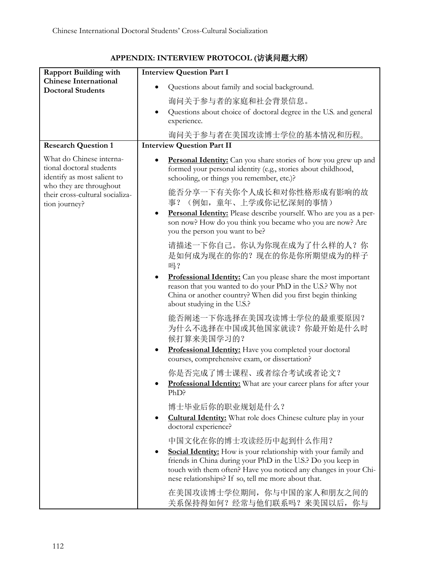|                                                                                     | <b>Interview Question Part I</b>                                                                                                                                                                                                                                                                       |
|-------------------------------------------------------------------------------------|--------------------------------------------------------------------------------------------------------------------------------------------------------------------------------------------------------------------------------------------------------------------------------------------------------|
| <b>Rapport Building with</b><br><b>Chinese International</b>                        |                                                                                                                                                                                                                                                                                                        |
| <b>Doctoral Students</b>                                                            | Questions about family and social background.                                                                                                                                                                                                                                                          |
|                                                                                     | 询问关于参与者的家庭和社会背景信息。                                                                                                                                                                                                                                                                                     |
|                                                                                     | Questions about choice of doctoral degree in the U.S. and general<br>$\bullet$<br>experience.                                                                                                                                                                                                          |
|                                                                                     | 询问关于参与者在美国攻读博士学位的基本情况和历程。                                                                                                                                                                                                                                                                              |
| <b>Research Question 1</b>                                                          | <b>Interview Question Part II</b>                                                                                                                                                                                                                                                                      |
| What do Chinese interna-<br>tional doctoral students<br>identify as most salient to | Personal Identity: Can you share stories of how you grew up and<br>formed your personal identity (e.g., stories about childhood,<br>schooling, or things you remember, etc.)?                                                                                                                          |
| who they are throughout<br>their cross-cultural socializa-<br>tion journey?         | 能否分享一下有关你个人成长和对你性格形成有影响的故<br>事? (例如, 童年、上学或你记忆深刻的事情)                                                                                                                                                                                                                                                   |
|                                                                                     | Personal Identity: Please describe yourself. Who are you as a per-<br>$\bullet$<br>son now? How do you think you became who you are now? Are<br>you the person you want to be?                                                                                                                         |
|                                                                                     | 请描述一下你自己。你认为你现在成为了什么样的人?你<br>是如何成为现在的你的? 现在的你是你所期望成为的样子<br>吗?                                                                                                                                                                                                                                          |
|                                                                                     | Professional Identity: Can you please share the most important<br>$\bullet$<br>reason that you wanted to do your PhD in the U.S.? Why not<br>China or another country? When did you first begin thinking<br>about studying in the U.S.?                                                                |
|                                                                                     | 能否阐述一下你选择在美国攻读博士学位的最重要原因?<br>为什么不选择在中国或其他国家就读? 你最开始是什么时<br>候打算来美国学习的?                                                                                                                                                                                                                                  |
|                                                                                     | Professional Identity: Have you completed your doctoral<br>$\bullet$<br>courses, comprehensive exam, or dissertation?                                                                                                                                                                                  |
|                                                                                     | 你是否完成了博士课程、或者综合考试或者论文?<br>Professional Identity: What are your career plans for after your<br>PhD?                                                                                                                                                                                                     |
|                                                                                     | 博士毕业后你的职业规划是什么?                                                                                                                                                                                                                                                                                        |
|                                                                                     | <b>Cultural Identity:</b> What role does Chinese culture play in your<br>٠<br>doctoral experience?                                                                                                                                                                                                     |
|                                                                                     | 中国文化在你的博士攻读经历中起到什么作用?<br><b>Social Identity:</b> How is your relationship with your family and<br>$\bullet$<br>friends in China during your PhD in the U.S.? Do you keep in<br>touch with them often? Have you noticed any changes in your Chi-<br>nese relationships? If so, tell me more about that. |
|                                                                                     | 在美国攻读博士学位期间, 你与中国的家人和朋友之间的<br>关系保持得如何? 经常与他们联系吗? 来美国以后, 你与                                                                                                                                                                                                                                             |

# **APPENDIX: INTERVIEW PROTOCOL (**访谈问题大纲)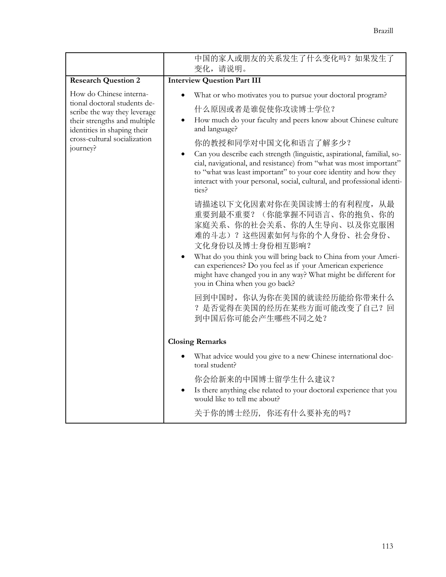|                                                                                                                                                                                                    | 中国的家人或朋友的关系发生了什么变化吗? 如果发生了<br>变化,请说明。                                                                                                                                                                                                                                                                                                                                                                                                                                                                                                                                                        |
|----------------------------------------------------------------------------------------------------------------------------------------------------------------------------------------------------|----------------------------------------------------------------------------------------------------------------------------------------------------------------------------------------------------------------------------------------------------------------------------------------------------------------------------------------------------------------------------------------------------------------------------------------------------------------------------------------------------------------------------------------------------------------------------------------------|
| <b>Research Question 2</b>                                                                                                                                                                         | <b>Interview Question Part III</b>                                                                                                                                                                                                                                                                                                                                                                                                                                                                                                                                                           |
| How do Chinese interna-<br>tional doctoral students de-<br>scribe the way they leverage<br>their strengths and multiple<br>identities in shaping their<br>cross-cultural socialization<br>journey? | What or who motivates you to pursue your doctoral program?<br>什么原因或者是谁促使你攻读博士学位?<br>How much do your faculty and peers know about Chinese culture<br>and language?<br>你的教授和同学对中国文化和语言了解多少?<br>Can you describe each strength (linguistic, aspirational, familial, so-<br>cial, navigational, and resistance) from "what was most important"<br>to "what was least important" to your core identity and how they<br>interact with your personal, social, cultural, and professional identi-<br>ties?<br>请描述以下文化因素对你在美国读博士的有利程度, 从最<br>重要到最不重要? (你能掌握不同语言、你的抱负、你的<br>家庭关系、你的社会关系、你的人生导向、以及你克服困 |
|                                                                                                                                                                                                    | 难的斗志)?这些因素如何与你的个人身份、社会身份、<br>文化身份以及博士身份相互影响?<br>What do you think you will bring back to China from your Ameri-<br>can experiences? Do you feel as if your American experience<br>might have changed you in any way? What might be different for<br>you in China when you go back?<br>回到中国时, 你认为你在美国的就读经历能给你带来什么<br>? 是否觉得在美国的经历在某些方面可能改变了自己? 回<br>到中国后你可能会产生哪些不同之处?                                                                                                                                                                                                                         |
|                                                                                                                                                                                                    | <b>Closing Remarks</b>                                                                                                                                                                                                                                                                                                                                                                                                                                                                                                                                                                       |
|                                                                                                                                                                                                    | What advice would you give to a new Chinese international doc-<br>toral student?                                                                                                                                                                                                                                                                                                                                                                                                                                                                                                             |
|                                                                                                                                                                                                    | 你会给新来的中国博士留学生什么建议?<br>Is there anything else related to your doctoral experience that you<br>would like to tell me about?                                                                                                                                                                                                                                                                                                                                                                                                                                                                    |
|                                                                                                                                                                                                    | 关于你的博士经历, 你还有什么要补充的吗?                                                                                                                                                                                                                                                                                                                                                                                                                                                                                                                                                                        |